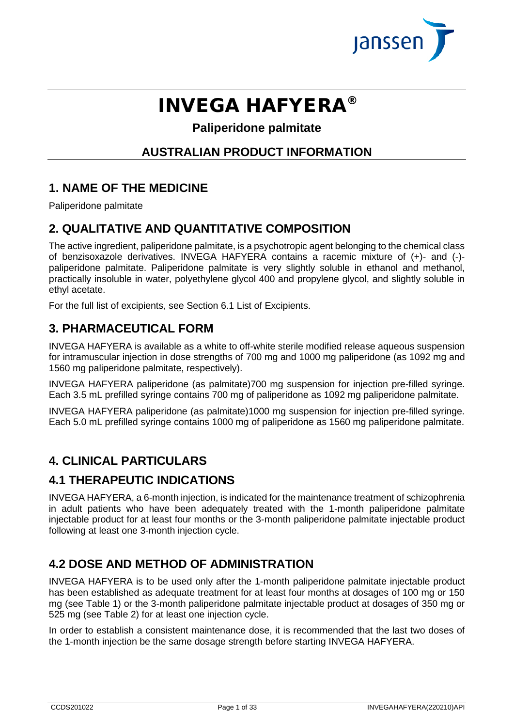

# INVEGA HAFYERA®

# **Paliperidone palmitate**

# **AUSTRALIAN PRODUCT INFORMATION**

# **1. NAME OF THE MEDICINE**

Paliperidone palmitate

# **2. QUALITATIVE AND QUANTITATIVE COMPOSITION**

The active ingredient, paliperidone palmitate, is a psychotropic agent belonging to the chemical class of benzisoxazole derivatives. INVEGA HAFYERA contains a racemic mixture of (+)- and (-) paliperidone palmitate. Paliperidone palmitate is very slightly soluble in ethanol and methanol, practically insoluble in water, polyethylene glycol 400 and propylene glycol, and slightly soluble in ethyl acetate.

For the full list of excipients, see Section 6.1 List of Excipients.

# **3. PHARMACEUTICAL FORM**

INVEGA HAFYERA is available as a white to off-white sterile modified release aqueous suspension for intramuscular injection in dose strengths of 700 mg and 1000 mg paliperidone (as 1092 mg and 1560 mg paliperidone palmitate, respectively).

INVEGA HAFYERA paliperidone (as palmitate)700 mg suspension for injection pre-filled syringe. Each 3.5 mL prefilled syringe contains 700 mg of paliperidone as 1092 mg paliperidone palmitate.

INVEGA HAFYERA paliperidone (as palmitate)1000 mg suspension for injection pre-filled syringe. Each 5.0 mL prefilled syringe contains 1000 mg of paliperidone as 1560 mg paliperidone palmitate.

# **4. CLINICAL PARTICULARS**

# **4.1 THERAPEUTIC INDICATIONS**

INVEGA HAFYERA, a 6-month injection, is indicated for the maintenance treatment of schizophrenia in adult patients who have been adequately treated with the 1-month paliperidone palmitate injectable product for at least four months or the 3-month paliperidone palmitate injectable product following at least one 3-month injection cycle.

# **4.2 DOSE AND METHOD OF ADMINISTRATION**

INVEGA HAFYERA is to be used only after the 1-month paliperidone palmitate injectable product has been established as adequate treatment for at least four months at dosages of 100 mg or 150 mg (see Table 1) or the 3-month paliperidone palmitate injectable product at dosages of 350 mg or 525 mg (see Table 2) for at least one injection cycle.

In order to establish a consistent maintenance dose, it is recommended that the last two doses of the 1-month injection be the same dosage strength before starting INVEGA HAFYERA.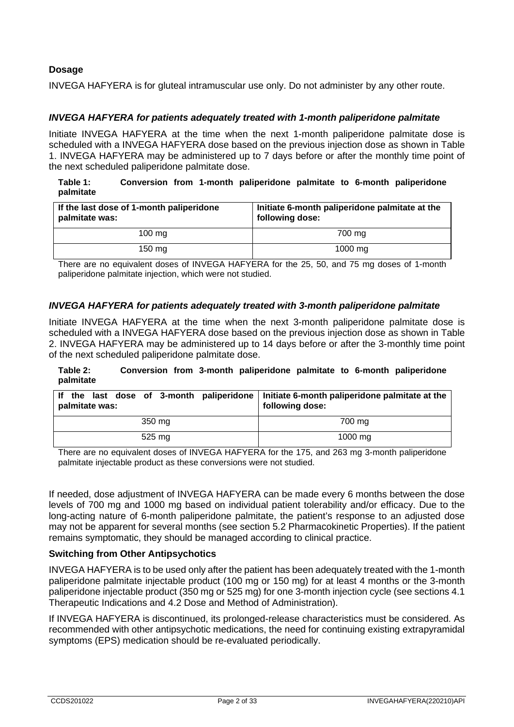### **Dosage**

INVEGA HAFYERA is for gluteal intramuscular use only. Do not administer by any other route.

#### *INVEGA HAFYERA for patients adequately treated with 1-month paliperidone palmitate*

Initiate INVEGA HAFYERA at the time when the next 1-month paliperidone palmitate dose is scheduled with a INVEGA HAFYERA dose based on the previous injection dose as shown in Table 1. INVEGA HAFYERA may be administered up to 7 days before or after the monthly time point of the next scheduled paliperidone palmitate dose.

#### **Table 1: Conversion from 1-month paliperidone palmitate to 6-month paliperidone palmitate**

| If the last dose of 1-month paliperidone<br>palmitate was: | Initiate 6-month paliperidone palmitate at the<br>following dose: |  |
|------------------------------------------------------------|-------------------------------------------------------------------|--|
| $100 \text{ mg}$                                           | 700 mg                                                            |  |
| 150 mg                                                     | $1000 \text{ mg}$                                                 |  |

There are no equivalent doses of INVEGA HAFYERA for the 25, 50, and 75 mg doses of 1-month paliperidone palmitate injection, which were not studied.

#### *INVEGA HAFYERA for patients adequately treated with 3-month paliperidone palmitate*

Initiate INVEGA HAFYERA at the time when the next 3-month paliperidone palmitate dose is scheduled with a INVEGA HAFYERA dose based on the previous injection dose as shown in Table 2. INVEGA HAFYERA may be administered up to 14 days before or after the 3-monthly time point of the next scheduled paliperidone palmitate dose.

#### **Table 2: Conversion from 3-month paliperidone palmitate to 6-month paliperidone palmitate**

| If the last dose of 3-month paliperidone   Initiate 6-month paliperidone palmitate at the<br>palmitate was: | following dose: |
|-------------------------------------------------------------------------------------------------------------|-----------------|
| 350 mg<br>700 mg                                                                                            |                 |
| 525 mg                                                                                                      | $1000$ mg       |

There are no equivalent doses of INVEGA HAFYERA for the 175, and 263 mg 3-month paliperidone palmitate injectable product as these conversions were not studied.

If needed, dose adjustment of INVEGA HAFYERA can be made every 6 months between the dose levels of 700 mg and 1000 mg based on individual patient tolerability and/or efficacy. Due to the long-acting nature of 6-month paliperidone palmitate, the patient's response to an adjusted dose may not be apparent for several months (see section 5.2 Pharmacokinetic Properties). If the patient remains symptomatic, they should be managed according to clinical practice.

#### **Switching from Other Antipsychotics**

INVEGA HAFYERA is to be used only after the patient has been adequately treated with the 1-month paliperidone palmitate injectable product (100 mg or 150 mg) for at least 4 months or the 3-month paliperidone injectable product (350 mg or 525 mg) for one 3-month injection cycle (see sections 4.1 Therapeutic Indications and 4.2 Dose and Method of Administration).

If INVEGA HAFYERA is discontinued, its prolonged-release characteristics must be considered. As recommended with other antipsychotic medications, the need for continuing existing extrapyramidal symptoms (EPS) medication should be re-evaluated periodically.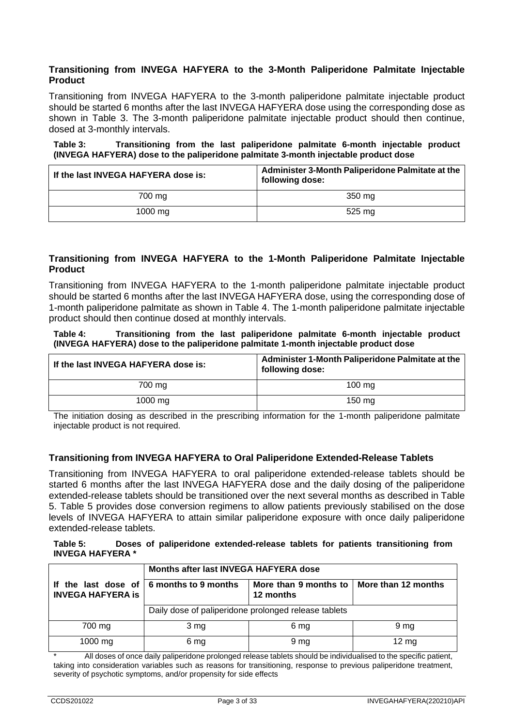#### **Transitioning from INVEGA HAFYERA to the 3-Month Paliperidone Palmitate Injectable Product**

Transitioning from INVEGA HAFYERA to the 3-month paliperidone palmitate injectable product should be started 6 months after the last INVEGA HAFYERA dose using the corresponding dose as shown in Table 3. The 3-month paliperidone palmitate injectable product should then continue, dosed at 3-monthly intervals.

#### **Table 3: Transitioning from the last paliperidone palmitate 6-month injectable product (INVEGA HAFYERA) dose to the paliperidone palmitate 3-month injectable product dose**

| If the last INVEGA HAFYERA dose is: | Administer 3-Month Paliperidone Palmitate at the<br>following dose: |  |
|-------------------------------------|---------------------------------------------------------------------|--|
| 700 mg                              | 350 mg                                                              |  |
| 1000 mg                             | 525 mg                                                              |  |

#### **Transitioning from INVEGA HAFYERA to the 1-Month Paliperidone Palmitate Injectable Product**

Transitioning from INVEGA HAFYERA to the 1-month paliperidone palmitate injectable product should be started 6 months after the last INVEGA HAFYERA dose, using the corresponding dose of 1-month paliperidone palmitate as shown in Table 4. The 1-month paliperidone palmitate injectable product should then continue dosed at monthly intervals.

**Table 4: Transitioning from the last paliperidone palmitate 6-month injectable product (INVEGA HAFYERA) dose to the paliperidone palmitate 1-month injectable product dose** 

| If the last INVEGA HAFYERA dose is: | Administer 1-Month Paliperidone Palmitate at the<br>following dose: |  |
|-------------------------------------|---------------------------------------------------------------------|--|
| 700 mg                              | $100 \text{ ma}$                                                    |  |
| 1000 mg                             | 150 mg                                                              |  |

The initiation dosing as described in the prescribing information for the 1-month paliperidone palmitate injectable product is not required.

# **Transitioning from INVEGA HAFYERA to Oral Paliperidone Extended-Release Tablets**

Transitioning from INVEGA HAFYERA to oral paliperidone extended-release tablets should be started 6 months after the last INVEGA HAFYERA dose and the daily dosing of the paliperidone extended-release tablets should be transitioned over the next several months as described in Table 5. Table 5 provides dose conversion regimens to allow patients previously stabilised on the dose levels of INVEGA HAFYERA to attain similar paliperidone exposure with once daily paliperidone extended-release tablets.

#### **Table 5: Doses of paliperidone extended-release tablets for patients transitioning from INVEGA HAFYERA \***

|                          | Months after last INVEGA HAFYERA dose                |                                                          |                 |
|--------------------------|------------------------------------------------------|----------------------------------------------------------|-----------------|
| <b>INVEGA HAFYERA is</b> | If the last dose of $\vert$ 6 months to 9 months     | More than 9 months to   More than 12 months<br>12 months |                 |
|                          | Daily dose of paliperidone prolonged release tablets |                                                          |                 |
| 700 mg                   | 3 <sub>mg</sub>                                      | 6 mg                                                     | 9 <sub>mg</sub> |
| 1000 mg                  | 6 mg                                                 | 9 mg                                                     | $12 \text{ mg}$ |

All doses of once daily paliperidone prolonged release tablets should be individualised to the specific patient, taking into consideration variables such as reasons for transitioning, response to previous paliperidone treatment, severity of psychotic symptoms, and/or propensity for side effects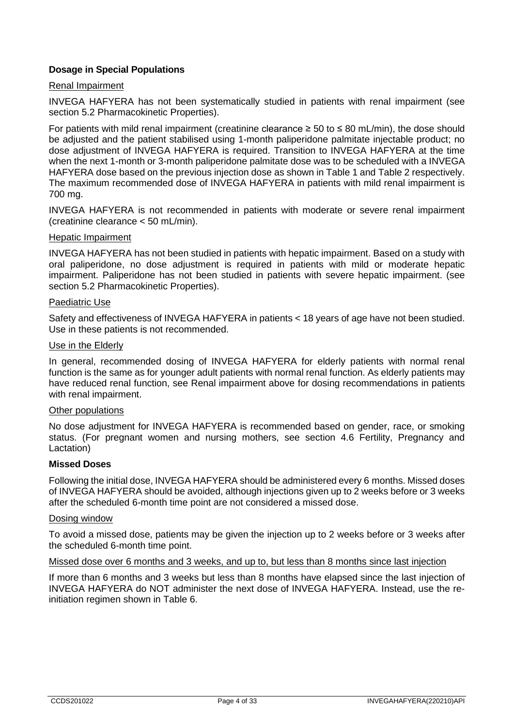## **Dosage in Special Populations**

### Renal Impairment

INVEGA HAFYERA has not been systematically studied in patients with renal impairment (see section 5.2 Pharmacokinetic Properties).

For patients with mild renal impairment (creatinine clearance  $\geq 50$  to  $\leq 80$  mL/min), the dose should be adjusted and the patient stabilised using 1-month paliperidone palmitate injectable product; no dose adjustment of INVEGA HAFYERA is required. Transition to INVEGA HAFYERA at the time when the next 1-month or 3-month paliperidone palmitate dose was to be scheduled with a INVEGA HAFYERA dose based on the previous injection dose as shown in Table 1 and Table 2 respectively. The maximum recommended dose of INVEGA HAFYERA in patients with mild renal impairment is 700 mg.

INVEGA HAFYERA is not recommended in patients with moderate or severe renal impairment (creatinine clearance < 50 mL/min).

#### Hepatic Impairment

INVEGA HAFYERA has not been studied in patients with hepatic impairment. Based on a study with oral paliperidone, no dose adjustment is required in patients with mild or moderate hepatic impairment. Paliperidone has not been studied in patients with severe hepatic impairment. (see section 5.2 Pharmacokinetic Properties).

#### Paediatric Use

Safety and effectiveness of INVEGA HAFYERA in patients < 18 years of age have not been studied. Use in these patients is not recommended.

#### Use in the Elderly

In general, recommended dosing of INVEGA HAFYERA for elderly patients with normal renal function is the same as for younger adult patients with normal renal function. As elderly patients may have reduced renal function, see Renal impairment above for dosing recommendations in patients with renal impairment.

#### Other populations

No dose adjustment for INVEGA HAFYERA is recommended based on gender, race, or smoking status. (For pregnant women and nursing mothers, see section 4.6 Fertility, Pregnancy and Lactation)

#### **Missed Doses**

Following the initial dose, INVEGA HAFYERA should be administered every 6 months. Missed doses of INVEGA HAFYERA should be avoided, although injections given up to 2 weeks before or 3 weeks after the scheduled 6-month time point are not considered a missed dose.

#### Dosing window

To avoid a missed dose, patients may be given the injection up to 2 weeks before or 3 weeks after the scheduled 6-month time point.

#### Missed dose over 6 months and 3 weeks, and up to, but less than 8 months since last injection

If more than 6 months and 3 weeks but less than 8 months have elapsed since the last injection of INVEGA HAFYERA do NOT administer the next dose of INVEGA HAFYERA. Instead, use the reinitiation regimen shown in Table 6.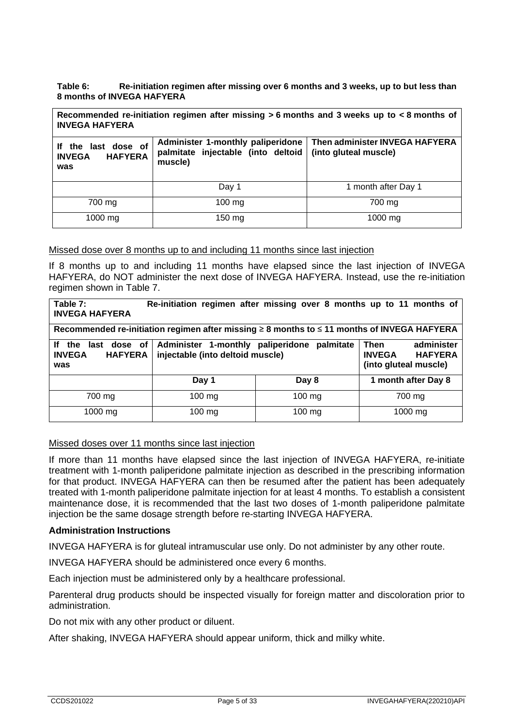**Table 6: Re-initiation regimen after missing over 6 months and 3 weeks, up to but less than 8 months of INVEGA HAFYERA**

**Recommended re-initiation regimen after missing > 6 months and 3 weeks up to < 8 months of INVEGA HAFYERA**

| the last dose of<br>If<br><b>HAFYERA</b><br><b>INVEGA</b><br>was | Administer 1-monthly paliperidone<br>palmitate injectable (into deltoid   (into gluteal muscle)<br>muscle) | Then administer INVEGA HAFYERA |
|------------------------------------------------------------------|------------------------------------------------------------------------------------------------------------|--------------------------------|
|                                                                  | Day 1                                                                                                      | 1 month after Day 1            |
| 700 mg                                                           | $100$ mg                                                                                                   | 700 mg                         |
| 1000 mg                                                          | $150$ mg                                                                                                   | 1000 mg                        |

#### Missed dose over 8 months up to and including 11 months since last injection

If 8 months up to and including 11 months have elapsed since the last injection of INVEGA HAFYERA, do NOT administer the next dose of INVEGA HAFYERA. Instead, use the re-initiation regimen shown in Table 7.

| Table 7:<br><b>INVEGA HAFYERA</b>                                                                                                                                                                                                              | Re-initiation regimen after missing over 8 months up to 11 months of                        |                  |         |  |
|------------------------------------------------------------------------------------------------------------------------------------------------------------------------------------------------------------------------------------------------|---------------------------------------------------------------------------------------------|------------------|---------|--|
|                                                                                                                                                                                                                                                | Recommended re-initiation regimen after missing ≥ 8 months to ≤ 11 months of INVEGA HAFYERA |                  |         |  |
| administer<br>Then<br>Administer 1-monthly paliperidone<br>dose of<br>palmitate<br>Ιf<br>the<br>last<br>injectable (into deltoid muscle)<br><b>INVEGA</b><br><b>INVEGA</b><br><b>HAFYERA</b><br><b>HAFYERA</b><br>(into gluteal muscle)<br>was |                                                                                             |                  |         |  |
| 1 month after Day 8<br>Day 8<br>Day 1                                                                                                                                                                                                          |                                                                                             |                  |         |  |
| 700 mg                                                                                                                                                                                                                                         | 100 mg                                                                                      | $100 \text{ mg}$ | 700 mg  |  |
| $1000 \text{ mg}$                                                                                                                                                                                                                              | $100 \text{ mg}$                                                                            | $100$ mg         | 1000 mg |  |

#### Missed doses over 11 months since last injection

If more than 11 months have elapsed since the last injection of INVEGA HAFYERA, re-initiate treatment with 1-month paliperidone palmitate injection as described in the prescribing information for that product. INVEGA HAFYERA can then be resumed after the patient has been adequately treated with 1-month paliperidone palmitate injection for at least 4 months. To establish a consistent maintenance dose, it is recommended that the last two doses of 1-month paliperidone palmitate injection be the same dosage strength before re-starting INVEGA HAFYERA.

#### **Administration Instructions**

INVEGA HAFYERA is for gluteal intramuscular use only. Do not administer by any other route.

INVEGA HAFYERA should be administered once every 6 months.

Each injection must be administered only by a healthcare professional.

Parenteral drug products should be inspected visually for foreign matter and discoloration prior to administration.

Do not mix with any other product or diluent.

After shaking, INVEGA HAFYERA should appear uniform, thick and milky white.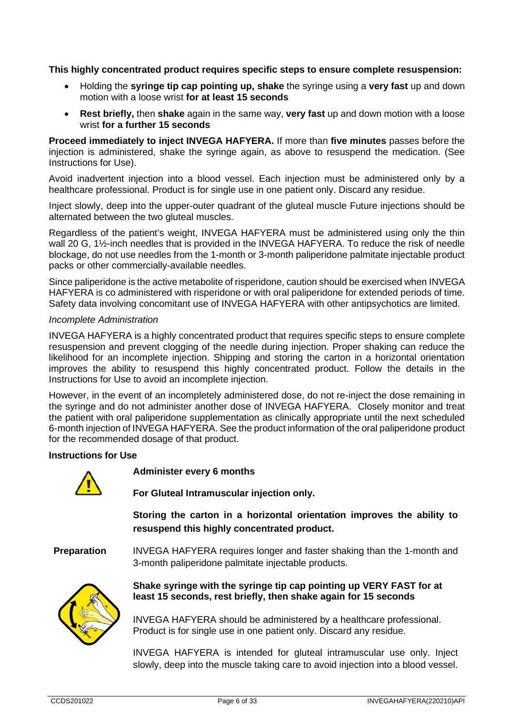**This highly concentrated product requires specific steps to ensure complete resuspension:** 

- Holding the **syringe tip cap pointing up, shake** the syringe using a **very fast** up and down motion with a loose wrist **for at least 15 seconds**
- **Rest briefly,** then **shake** again in the same way, **very fast** up and down motion with a loose wrist **for a further 15 seconds**

**Proceed immediately to inject INVEGA HAFYERA.** If more than **five minutes** passes before the injection is administered, shake the syringe again, as above to resuspend the medication. (See Instructions for Use).

Avoid inadvertent injection into a blood vessel. Each injection must be administered only by a healthcare professional. Product is for single use in one patient only. Discard any residue.

Inject slowly, deep into the upper-outer quadrant of the gluteal muscle Future injections should be alternated between the two gluteal muscles.

Regardless of the patient's weight, INVEGA HAFYERA must be administered using only the thin wall 20 G, 1½-inch needles that is provided in the INVEGA HAFYERA. To reduce the risk of needle blockage, do not use needles from the 1-month or 3-month paliperidone palmitate injectable product packs or other commercially-available needles.

Since paliperidone is the active metabolite of risperidone, caution should be exercised when INVEGA HAFYERA is co administered with risperidone or with oral paliperidone for extended periods of time. Safety data involving concomitant use of INVEGA HAFYERA with other antipsychotics are limited.

#### *Incomplete Administration*

INVEGA HAFYERA is a highly concentrated product that requires specific steps to ensure complete resuspension and prevent clogging of the needle during injection. Proper shaking can reduce the likelihood for an incomplete injection. Shipping and storing the carton in a horizontal orientation improves the ability to resuspend this highly concentrated product. Follow the details in the Instructions for Use to avoid an incomplete injection.

However, in the event of an incompletely administered dose, do not re-inject the dose remaining in the syringe and do not administer another dose of INVEGA HAFYERA. Closely monitor and treat the patient with oral paliperidone supplementation as clinically appropriate until the next scheduled 6-month injection of INVEGA HAFYERA. See the product information of the oral paliperidone product for the recommended dosage of that product.

#### **Instructions for Use**



**Administer every 6 months**

**For Gluteal Intramuscular injection only.**

**Storing the carton in a horizontal orientation improves the ability to resuspend this highly concentrated product.**

**Preparation** INVEGA HAFYERA requires longer and faster shaking than the 1-month and 3-month paliperidone palmitate injectable products.



**Shake syringe with the syringe tip cap pointing up VERY FAST for at least 15 seconds, rest briefly, then shake again for 15 seconds**

INVEGA HAFYERA should be administered by a healthcare professional. Product is for single use in one patient only. Discard any residue.

INVEGA HAFYERA is intended for gluteal intramuscular use only. Inject slowly, deep into the muscle taking care to avoid injection into a blood vessel.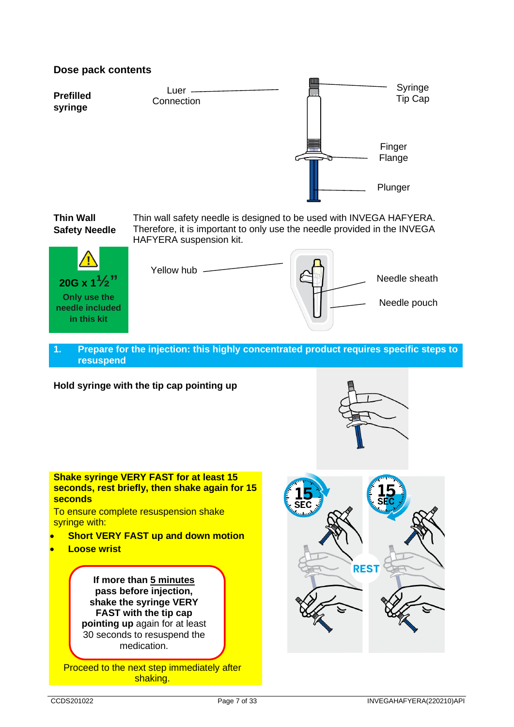

**Prefilled syringe** Syringe Tip Cap Finger Flange Plunger Luer -**Connection** 

**Thin Wall Safety Needle** Thin wall safety needle is designed to be used with INVEGA HAFYERA. Therefore, it is important to only use the needle provided in the INVEGA HAFYERA suspension kit.



Needle sheath Yellow hub -Needle pouch

#### **1. Prepare for the injection: this highly concentrated product requires specific steps to resuspend**

**Hold syringe with the tip cap pointing up**



**Shake syringe VERY FAST for at least 15 seconds, rest briefly, then shake again for 15 seconds** To ensure complete resuspension shake syringe with: • **Short VERY FAST up and down motion** • **Loose wrist If more than 5 minutes pass before injection, shake the syringe VERY FAST with the tip cap pointing up** again for at least 30 seconds to resuspend the medication.

Proceed to the next step immediately after shaking.

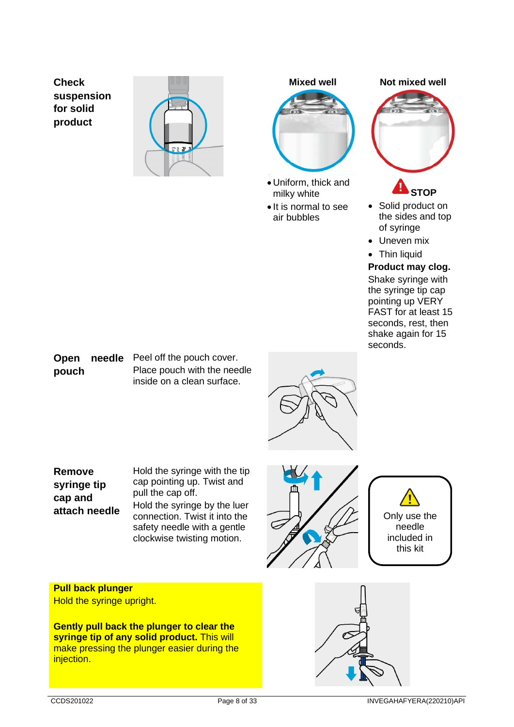**Check suspension for solid product**





- Uniform, thick and milky white
- It is normal to see air bubbles





# **STOP**

- Solid product on the sides and top of syringe
- Uneven mix
- Thin liquid

### **Product may clog.** Shake syringe with

the syringe tip cap pointing up VERY FAST for at least 15 seconds, rest, then shake again for 15 seconds.

#### **Open needle**  Peel off the pouch cover. **pouch** Place pouch with the needle inside on a clean surface.



**Remove syringe tip cap and attach needle** Hold the syringe with the tip cap pointing up. Twist and pull the cap off. Hold the syringe by the luer connection. Twist it into the safety needle with a gentle clockwise twisting motion.





**Pull back plunger** Hold the syringe upright.

**Gently pull back the plunger to clear the syringe tip of any solid product.** This will make pressing the plunger easier during the injection.

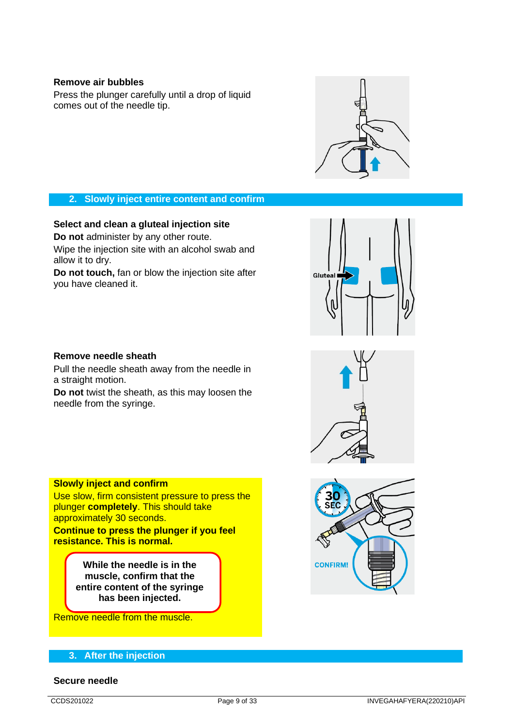#### **Remove air bubbles**

Press the plunger carefully until a drop of liquid comes out of the needle tip.



#### **2. Slowly inject entire content and confirm**

**Select and clean a gluteal injection site**

**Do not** administer by any other route.

Wipe the injection site with an alcohol swab and allow it to dry.

**Do not touch,** fan or blow the injection site after you have cleaned it.



#### **Remove needle sheath**

Pull the needle sheath away from the needle in a straight motion.

**Do not** twist the sheath, as this may loosen the needle from the syringe.





#### **Slowly inject and confirm**

Use slow, firm consistent pressure to press the plunger **completely**. This should take approximately 30 seconds.

**Continue to press the plunger if you feel resistance. This is normal.**

> **While the needle is in the muscle, confirm that the entire content of the syringe has been injected.**

Remove needle from the muscle.

#### **3. After the injection**

#### **Secure needle**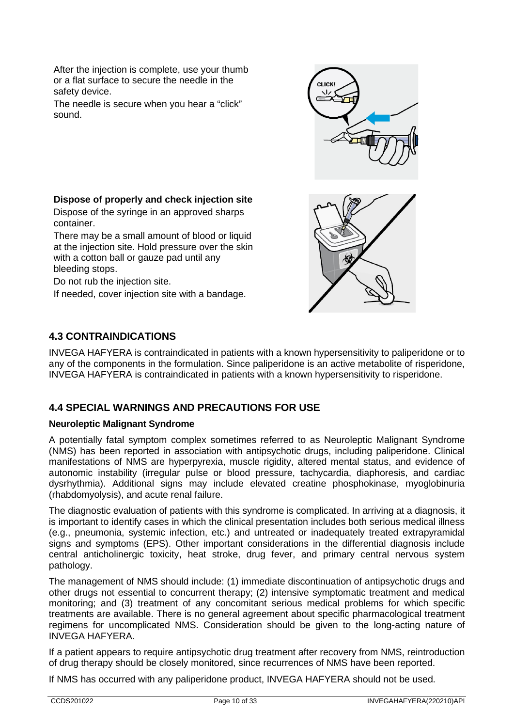After the injection is complete, use your thumb or a flat surface to secure the needle in the safety device.

The needle is secure when you hear a "click" sound.



#### **Dispose of properly and check injection site** Dispose of the syringe in an approved sharps container.

There may be a small amount of blood or liquid at the injection site. Hold pressure over the skin with a cotton ball or gauze pad until any bleeding stops.

Do not rub the injection site.

If needed, cover injection site with a bandage.

# **4.3 CONTRAINDICATIONS**

INVEGA HAFYERA is contraindicated in patients with a known hypersensitivity to paliperidone or to any of the components in the formulation. Since paliperidone is an active metabolite of risperidone, INVEGA HAFYERA is contraindicated in patients with a known hypersensitivity to risperidone.

# **4.4 SPECIAL WARNINGS AND PRECAUTIONS FOR USE**

# **Neuroleptic Malignant Syndrome**

A potentially fatal symptom complex sometimes referred to as Neuroleptic Malignant Syndrome (NMS) has been reported in association with antipsychotic drugs, including paliperidone. Clinical manifestations of NMS are hyperpyrexia, muscle rigidity, altered mental status, and evidence of autonomic instability (irregular pulse or blood pressure, tachycardia, diaphoresis, and cardiac dysrhythmia). Additional signs may include elevated creatine phosphokinase, myoglobinuria (rhabdomyolysis), and acute renal failure.

The diagnostic evaluation of patients with this syndrome is complicated. In arriving at a diagnosis, it is important to identify cases in which the clinical presentation includes both serious medical illness (e.g., pneumonia, systemic infection, etc.) and untreated or inadequately treated extrapyramidal signs and symptoms (EPS). Other important considerations in the differential diagnosis include central anticholinergic toxicity, heat stroke, drug fever, and primary central nervous system pathology.

The management of NMS should include: (1) immediate discontinuation of antipsychotic drugs and other drugs not essential to concurrent therapy; (2) intensive symptomatic treatment and medical monitoring; and (3) treatment of any concomitant serious medical problems for which specific treatments are available. There is no general agreement about specific pharmacological treatment regimens for uncomplicated NMS. Consideration should be given to the long-acting nature of INVEGA HAFYERA.

If a patient appears to require antipsychotic drug treatment after recovery from NMS, reintroduction of drug therapy should be closely monitored, since recurrences of NMS have been reported.

If NMS has occurred with any paliperidone product, INVEGA HAFYERA should not be used.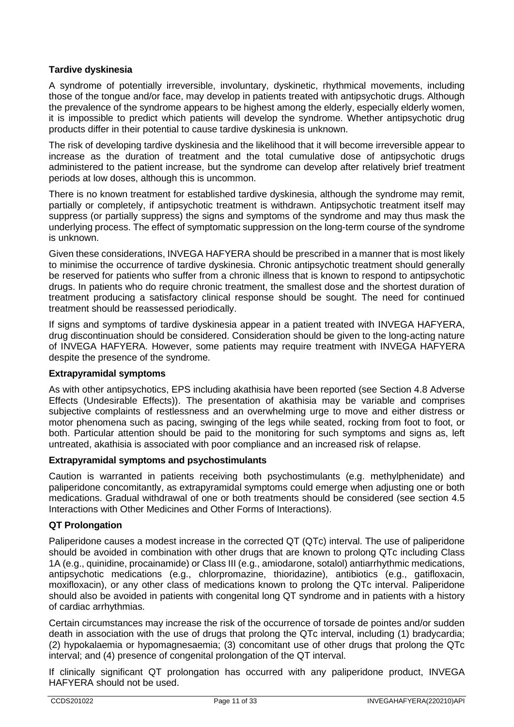### **Tardive dyskinesia**

A syndrome of potentially irreversible, involuntary, dyskinetic, rhythmical movements, including those of the tongue and/or face, may develop in patients treated with antipsychotic drugs. Although the prevalence of the syndrome appears to be highest among the elderly, especially elderly women, it is impossible to predict which patients will develop the syndrome. Whether antipsychotic drug products differ in their potential to cause tardive dyskinesia is unknown.

The risk of developing tardive dyskinesia and the likelihood that it will become irreversible appear to increase as the duration of treatment and the total cumulative dose of antipsychotic drugs administered to the patient increase, but the syndrome can develop after relatively brief treatment periods at low doses, although this is uncommon.

There is no known treatment for established tardive dyskinesia, although the syndrome may remit, partially or completely, if antipsychotic treatment is withdrawn. Antipsychotic treatment itself may suppress (or partially suppress) the signs and symptoms of the syndrome and may thus mask the underlying process. The effect of symptomatic suppression on the long-term course of the syndrome is unknown.

Given these considerations, INVEGA HAFYERA should be prescribed in a manner that is most likely to minimise the occurrence of tardive dyskinesia. Chronic antipsychotic treatment should generally be reserved for patients who suffer from a chronic illness that is known to respond to antipsychotic drugs. In patients who do require chronic treatment, the smallest dose and the shortest duration of treatment producing a satisfactory clinical response should be sought. The need for continued treatment should be reassessed periodically.

If signs and symptoms of tardive dyskinesia appear in a patient treated with INVEGA HAFYERA, drug discontinuation should be considered. Consideration should be given to the long-acting nature of INVEGA HAFYERA. However, some patients may require treatment with INVEGA HAFYERA despite the presence of the syndrome.

#### **Extrapyramidal symptoms**

As with other antipsychotics, EPS including akathisia have been reported (see Section 4.8 Adverse Effects (Undesirable Effects)). The presentation of akathisia may be variable and comprises subjective complaints of restlessness and an overwhelming urge to move and either distress or motor phenomena such as pacing, swinging of the legs while seated, rocking from foot to foot, or both. Particular attention should be paid to the monitoring for such symptoms and signs as, left untreated, akathisia is associated with poor compliance and an increased risk of relapse.

#### **Extrapyramidal symptoms and psychostimulants**

Caution is warranted in patients receiving both psychostimulants (e.g. methylphenidate) and paliperidone concomitantly, as extrapyramidal symptoms could emerge when adjusting one or both medications. Gradual withdrawal of one or both treatments should be considered (see section 4.5 Interactions with Other Medicines and Other Forms of Interactions).

#### **QT Prolongation**

Paliperidone causes a modest increase in the corrected QT (QTc) interval. The use of paliperidone should be avoided in combination with other drugs that are known to prolong QTc including Class 1A (e.g., quinidine, procainamide) or Class III (e.g., amiodarone, sotalol) antiarrhythmic medications, antipsychotic medications (e.g., chlorpromazine, thioridazine), antibiotics (e.g., gatifloxacin, moxifloxacin), or any other class of medications known to prolong the QTc interval. Paliperidone should also be avoided in patients with congenital long QT syndrome and in patients with a history of cardiac arrhythmias.

Certain circumstances may increase the risk of the occurrence of torsade de pointes and/or sudden death in association with the use of drugs that prolong the QTc interval, including (1) bradycardia; (2) hypokalaemia or hypomagnesaemia; (3) concomitant use of other drugs that prolong the QTc interval; and (4) presence of congenital prolongation of the QT interval.

If clinically significant QT prolongation has occurred with any paliperidone product, INVEGA HAFYERA should not be used.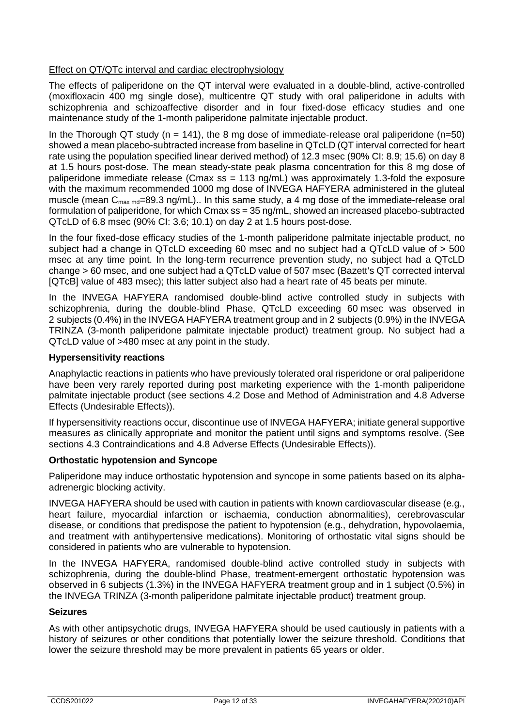# Effect on QT/QTc interval and cardiac electrophysiology

The effects of paliperidone on the QT interval were evaluated in a double-blind, active-controlled (moxifloxacin 400 mg single dose), multicentre QT study with oral paliperidone in adults with schizophrenia and schizoaffective disorder and in four fixed-dose efficacy studies and one maintenance study of the 1-month paliperidone palmitate injectable product.

In the Thorough QT study ( $n = 141$ ), the 8 mg dose of immediate-release oral paliperidone ( $n=50$ ) showed a mean placebo-subtracted increase from baseline in QTcLD (QT interval corrected for heart rate using the population specified linear derived method) of 12.3 msec (90% CI: 8.9; 15.6) on day 8 at 1.5 hours post-dose. The mean steady-state peak plasma concentration for this 8 mg dose of paliperidone immediate release (Cmax ss = 113 ng/mL) was approximately 1.3-fold the exposure with the maximum recommended 1000 mg dose of INVEGA HAFYERA administered in the gluteal muscle (mean  $C_{\text{max md}}$ =89.3 ng/mL).. In this same study, a 4 mg dose of the immediate-release oral formulation of paliperidone, for which Cmax ss = 35 ng/mL, showed an increased placebo-subtracted QTcLD of 6.8 msec (90% CI: 3.6; 10.1) on day 2 at 1.5 hours post-dose.

In the four fixed-dose efficacy studies of the 1-month paliperidone palmitate injectable product, no subject had a change in QTcLD exceeding 60 msec and no subject had a QTcLD value of > 500 msec at any time point. In the long-term recurrence prevention study, no subject had a QTcLD change > 60 msec, and one subject had a QTcLD value of 507 msec (Bazett's QT corrected interval [QTcB] value of 483 msec); this latter subject also had a heart rate of 45 beats per minute.

In the INVEGA HAFYERA randomised double-blind active controlled study in subjects with schizophrenia, during the double-blind Phase, QTcLD exceeding 60 msec was observed in 2 subjects (0.4%) in the INVEGA HAFYERA treatment group and in 2 subjects (0.9%) in the INVEGA TRINZA (3-month paliperidone palmitate injectable product) treatment group. No subject had a QTcLD value of >480 msec at any point in the study.

#### **Hypersensitivity reactions**

Anaphylactic reactions in patients who have previously tolerated oral risperidone or oral paliperidone have been very rarely reported during post marketing experience with the 1-month paliperidone palmitate injectable product (see sections 4.2 Dose and Method of Administration and 4.8 Adverse Effects (Undesirable Effects)).

If hypersensitivity reactions occur, discontinue use of INVEGA HAFYERA; initiate general supportive measures as clinically appropriate and monitor the patient until signs and symptoms resolve. (See sections 4.3 Contraindications and 4.8 Adverse Effects (Undesirable Effects)).

#### **Orthostatic hypotension and Syncope**

Paliperidone may induce orthostatic hypotension and syncope in some patients based on its alphaadrenergic blocking activity.

INVEGA HAFYERA should be used with caution in patients with known cardiovascular disease (e.g., heart failure, myocardial infarction or ischaemia, conduction abnormalities), cerebrovascular disease, or conditions that predispose the patient to hypotension (e.g., dehydration, hypovolaemia, and treatment with antihypertensive medications). Monitoring of orthostatic vital signs should be considered in patients who are vulnerable to hypotension.

In the INVEGA HAFYERA, randomised double-blind active controlled study in subjects with schizophrenia, during the double-blind Phase, treatment-emergent orthostatic hypotension was observed in 6 subjects (1.3%) in the INVEGA HAFYERA treatment group and in 1 subject (0.5%) in the INVEGA TRINZA (3-month paliperidone palmitate injectable product) treatment group.

#### **Seizures**

As with other antipsychotic drugs, INVEGA HAFYERA should be used cautiously in patients with a history of seizures or other conditions that potentially lower the seizure threshold. Conditions that lower the seizure threshold may be more prevalent in patients 65 years or older.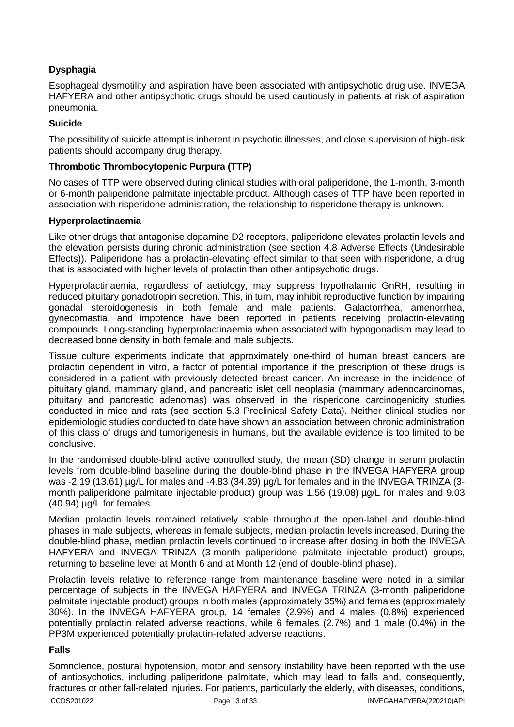# **Dysphagia**

Esophageal dysmotility and aspiration have been associated with antipsychotic drug use. INVEGA HAFYERA and other antipsychotic drugs should be used cautiously in patients at risk of aspiration pneumonia.

### **Suicide**

The possibility of suicide attempt is inherent in psychotic illnesses, and close supervision of high-risk patients should accompany drug therapy.

### **Thrombotic Thrombocytopenic Purpura (TTP)**

No cases of TTP were observed during clinical studies with oral paliperidone, the 1-month, 3-month or 6-month paliperidone palmitate injectable product. Although cases of TTP have been reported in association with risperidone administration, the relationship to risperidone therapy is unknown.

#### **Hyperprolactinaemia**

Like other drugs that antagonise dopamine D2 receptors, paliperidone elevates prolactin levels and the elevation persists during chronic administration (see section 4.8 Adverse Effects (Undesirable Effects)). Paliperidone has a prolactin-elevating effect similar to that seen with risperidone, a drug that is associated with higher levels of prolactin than other antipsychotic drugs.

Hyperprolactinaemia, regardless of aetiology, may suppress hypothalamic GnRH, resulting in reduced pituitary gonadotropin secretion. This, in turn, may inhibit reproductive function by impairing gonadal steroidogenesis in both female and male patients. Galactorrhea, amenorrhea, gynecomastia, and impotence have been reported in patients receiving prolactin-elevating compounds. Long-standing hyperprolactinaemia when associated with hypogonadism may lead to decreased bone density in both female and male subjects.

Tissue culture experiments indicate that approximately one-third of human breast cancers are prolactin dependent in vitro, a factor of potential importance if the prescription of these drugs is considered in a patient with previously detected breast cancer. An increase in the incidence of pituitary gland, mammary gland, and pancreatic islet cell neoplasia (mammary adenocarcinomas, pituitary and pancreatic adenomas) was observed in the risperidone carcinogenicity studies conducted in mice and rats (see section 5.3 Preclinical Safety Data). Neither clinical studies nor epidemiologic studies conducted to date have shown an association between chronic administration of this class of drugs and tumorigenesis in humans, but the available evidence is too limited to be conclusive.

In the randomised double-blind active controlled study, the mean (SD) change in serum prolactin levels from double-blind baseline during the double-blind phase in the INVEGA HAFYERA group was -2.19 (13.61) µg/L for males and -4.83 (34.39) µg/L for females and in the INVEGA TRINZA (3month paliperidone palmitate injectable product) group was 1.56 (19.08) µg/L for males and 9.03 (40.94) µg/L for females.

Median prolactin levels remained relatively stable throughout the open-label and double-blind phases in male subjects, whereas in female subjects, median prolactin levels increased. During the double-blind phase, median prolactin levels continued to increase after dosing in both the INVEGA HAFYERA and INVEGA TRINZA (3-month paliperidone palmitate injectable product) groups, returning to baseline level at Month 6 and at Month 12 (end of double-blind phase).

Prolactin levels relative to reference range from maintenance baseline were noted in a similar percentage of subjects in the INVEGA HAFYERA and INVEGA TRINZA (3-month paliperidone palmitate injectable product) groups in both males (approximately 35%) and females (approximately 30%). In the INVEGA HAFYERA group, 14 females (2.9%) and 4 males (0.8%) experienced potentially prolactin related adverse reactions, while 6 females (2.7%) and 1 male (0.4%) in the PP3M experienced potentially prolactin-related adverse reactions.

#### **Falls**

Somnolence, postural hypotension, motor and sensory instability have been reported with the use of antipsychotics, including paliperidone palmitate, which may lead to falls and, consequently, fractures or other fall-related injuries. For patients, particularly the elderly, with diseases, conditions,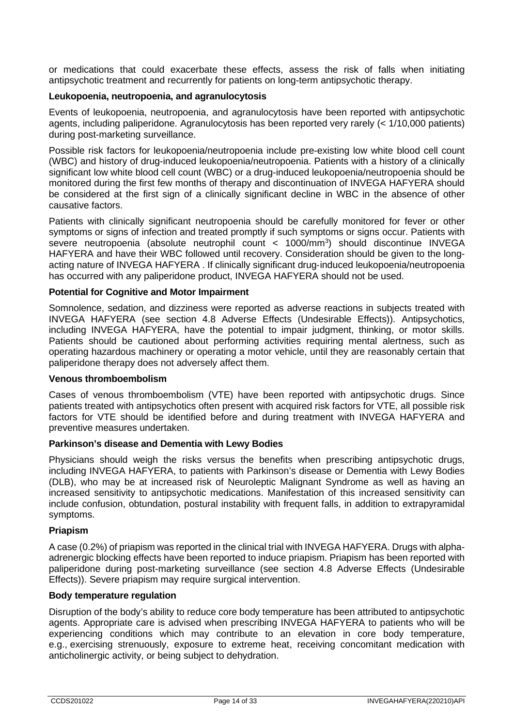or medications that could exacerbate these effects, assess the risk of falls when initiating antipsychotic treatment and recurrently for patients on long-term antipsychotic therapy.

#### **Leukopoenia, neutropoenia, and agranulocytosis**

Events of leukopoenia, neutropoenia, and agranulocytosis have been reported with antipsychotic agents, including paliperidone. Agranulocytosis has been reported very rarely (< 1/10,000 patients) during post-marketing surveillance.

Possible risk factors for leukopoenia/neutropoenia include pre-existing low white blood cell count (WBC) and history of drug-induced leukopoenia/neutropoenia. Patients with a history of a clinically significant low white blood cell count (WBC) or a drug-induced leukopoenia/neutropoenia should be monitored during the first few months of therapy and discontinuation of INVEGA HAFYERA should be considered at the first sign of a clinically significant decline in WBC in the absence of other causative factors.

Patients with clinically significant neutropoenia should be carefully monitored for fever or other symptoms or signs of infection and treated promptly if such symptoms or signs occur. Patients with severe neutropoenia (absolute neutrophil count < 1000/mm3 ) should discontinue INVEGA HAFYERA and have their WBC followed until recovery. Consideration should be given to the longacting nature of INVEGA HAFYERA. If clinically significant drug-induced leukopoenia/neutropoenia has occurred with any paliperidone product, INVEGA HAFYERA should not be used.

#### **Potential for Cognitive and Motor Impairment**

Somnolence, sedation, and dizziness were reported as adverse reactions in subjects treated with INVEGA HAFYERA (see section 4.8 Adverse Effects (Undesirable Effects)). Antipsychotics, including INVEGA HAFYERA, have the potential to impair judgment, thinking, or motor skills. Patients should be cautioned about performing activities requiring mental alertness, such as operating hazardous machinery or operating a motor vehicle, until they are reasonably certain that paliperidone therapy does not adversely affect them.

#### **Venous thromboembolism**

Cases of venous thromboembolism (VTE) have been reported with antipsychotic drugs. Since patients treated with antipsychotics often present with acquired risk factors for VTE, all possible risk factors for VTE should be identified before and during treatment with INVEGA HAFYERA and preventive measures undertaken.

#### **Parkinson's disease and Dementia with Lewy Bodies**

Physicians should weigh the risks versus the benefits when prescribing antipsychotic drugs, including INVEGA HAFYERA, to patients with Parkinson's disease or Dementia with Lewy Bodies (DLB), who may be at increased risk of Neuroleptic Malignant Syndrome as well as having an increased sensitivity to antipsychotic medications. Manifestation of this increased sensitivity can include confusion, obtundation, postural instability with frequent falls, in addition to extrapyramidal symptoms.

#### **Priapism**

A case (0.2%) of priapism was reported in the clinical trial with INVEGA HAFYERA. Drugs with alphaadrenergic blocking effects have been reported to induce priapism. Priapism has been reported with paliperidone during post-marketing surveillance (see section 4.8 Adverse Effects (Undesirable Effects)). Severe priapism may require surgical intervention.

#### **Body temperature regulation**

Disruption of the body's ability to reduce core body temperature has been attributed to antipsychotic agents. Appropriate care is advised when prescribing INVEGA HAFYERA to patients who will be experiencing conditions which may contribute to an elevation in core body temperature, e.g., exercising strenuously, exposure to extreme heat, receiving concomitant medication with anticholinergic activity, or being subject to dehydration.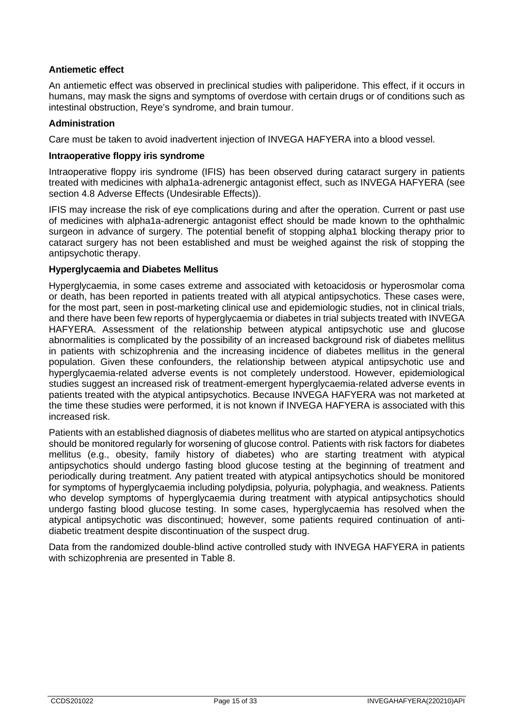### **Antiemetic effect**

An antiemetic effect was observed in preclinical studies with paliperidone. This effect, if it occurs in humans, may mask the signs and symptoms of overdose with certain drugs or of conditions such as intestinal obstruction, Reye's syndrome, and brain tumour.

#### **Administration**

Care must be taken to avoid inadvertent injection of INVEGA HAFYERA into a blood vessel.

#### **Intraoperative floppy iris syndrome**

Intraoperative floppy iris syndrome (IFIS) has been observed during cataract surgery in patients treated with medicines with alpha1a-adrenergic antagonist effect, such as INVEGA HAFYERA (see section 4.8 Adverse Effects (Undesirable Effects)).

IFIS may increase the risk of eye complications during and after the operation. Current or past use of medicines with alpha1a-adrenergic antagonist effect should be made known to the ophthalmic surgeon in advance of surgery. The potential benefit of stopping alpha1 blocking therapy prior to cataract surgery has not been established and must be weighed against the risk of stopping the antipsychotic therapy.

#### **Hyperglycaemia and Diabetes Mellitus**

Hyperglycaemia, in some cases extreme and associated with ketoacidosis or hyperosmolar coma or death, has been reported in patients treated with all atypical antipsychotics. These cases were, for the most part, seen in post-marketing clinical use and epidemiologic studies, not in clinical trials, and there have been few reports of hyperglycaemia or diabetes in trial subjects treated with INVEGA HAFYERA. Assessment of the relationship between atypical antipsychotic use and glucose abnormalities is complicated by the possibility of an increased background risk of diabetes mellitus in patients with schizophrenia and the increasing incidence of diabetes mellitus in the general population. Given these confounders, the relationship between atypical antipsychotic use and hyperglycaemia-related adverse events is not completely understood. However, epidemiological studies suggest an increased risk of treatment-emergent hyperglycaemia-related adverse events in patients treated with the atypical antipsychotics. Because INVEGA HAFYERA was not marketed at the time these studies were performed, it is not known if INVEGA HAFYERA is associated with this increased risk.

Patients with an established diagnosis of diabetes mellitus who are started on atypical antipsychotics should be monitored regularly for worsening of glucose control. Patients with risk factors for diabetes mellitus (e.g., obesity, family history of diabetes) who are starting treatment with atypical antipsychotics should undergo fasting blood glucose testing at the beginning of treatment and periodically during treatment. Any patient treated with atypical antipsychotics should be monitored for symptoms of hyperglycaemia including polydipsia, polyuria, polyphagia, and weakness. Patients who develop symptoms of hyperglycaemia during treatment with atypical antipsychotics should undergo fasting blood glucose testing. In some cases, hyperglycaemia has resolved when the atypical antipsychotic was discontinued; however, some patients required continuation of antidiabetic treatment despite discontinuation of the suspect drug.

Data from the randomized double-blind active controlled study with INVEGA HAFYERA in patients with schizophrenia are presented in Table 8.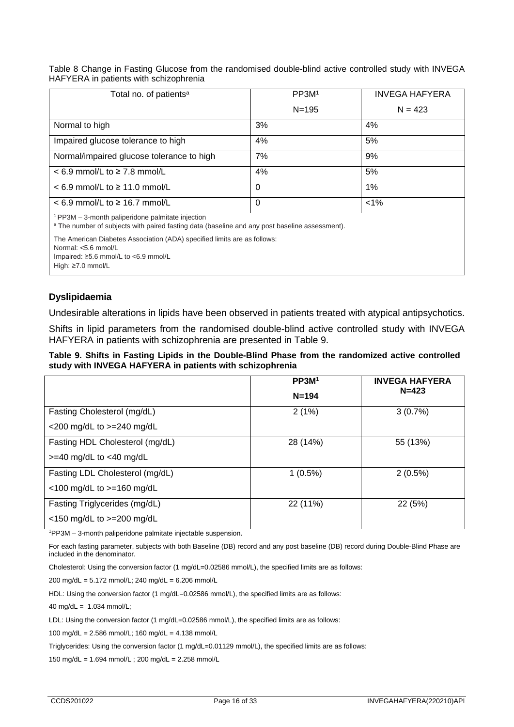Table 8 Change in Fasting Glucose from the randomised double-blind active controlled study with INVEGA HAFYERA in patients with schizophrenia

| Total no. of patients <sup>a</sup>                                                                                                                           | PP3M <sup>1</sup> | <b>INVEGA HAFYERA</b> |
|--------------------------------------------------------------------------------------------------------------------------------------------------------------|-------------------|-----------------------|
|                                                                                                                                                              | $N = 195$         | $N = 423$             |
| Normal to high                                                                                                                                               | 3%                | 4%                    |
| Impaired glucose tolerance to high                                                                                                                           | 4%                | 5%                    |
| Normal/impaired glucose tolerance to high                                                                                                                    | 7%                | 9%                    |
| $< 6.9$ mmol/L to $\geq 7.8$ mmol/L                                                                                                                          | 4%                | 5%                    |
| $<$ 6.9 mmol/L to $\geq$ 11.0 mmol/L                                                                                                                         | $\Omega$          | $1\%$                 |
| $< 6.9$ mmol/L to $\geq 16.7$ mmol/L                                                                                                                         | $\Omega$          | $1\%$                 |
| PP3M - 3-month paliperidone palmitate injection<br><sup>a</sup> The number of subjects with paired fasting data (baseline and any post baseline assessment). |                   |                       |
| The American Diabetes Association (ADA) specified limits are as follows:<br>$\cdots$ $\cdots$ $\cdots$                                                       |                   |                       |

Normal: <5.6 mmol/L

Impaired: ≥5.6 mmol/L to <6.9 mmol/L

High: ≥7.0 mmol/L

### **Dyslipidaemia**

Undesirable alterations in lipids have been observed in patients treated with atypical antipsychotics.

Shifts in lipid parameters from the randomised double-blind active controlled study with INVEGA HAFYERA in patients with schizophrenia are presented in Table 9.

#### **Table 9. Shifts in Fasting Lipids in the Double-Blind Phase from the randomized active controlled study with INVEGA HAFYERA in patients with schizophrenia**

|                                 | PP3M <sup>1</sup> | <b>INVEGA HAFYERA</b> |
|---------------------------------|-------------------|-----------------------|
|                                 | $N = 194$         | $N = 423$             |
| Fasting Cholesterol (mg/dL)     | 2(1%)             | 3(0.7%)               |
| <200 mg/dL to >=240 mg/dL       |                   |                       |
| Fasting HDL Cholesterol (mg/dL) | 28 (14%)          | 55 (13%)              |
| $>=$ 40 mg/dL to $<$ 40 mg/dL   |                   |                       |
| Fasting LDL Cholesterol (mg/dL) | $1(0.5\%)$        | $2(0.5\%)$            |
| <100 mg/dL to >=160 mg/dL       |                   |                       |
| Fasting Triglycerides (mg/dL)   | 22 (11%)          | 22(5%)                |
| $<$ 150 mg/dL to $>=$ 200 mg/dL |                   |                       |

1 PP3M – 3-month paliperidone palmitate injectable suspension.

For each fasting parameter, subjects with both Baseline (DB) record and any post baseline (DB) record during Double-Blind Phase are included in the denominator.

Cholesterol: Using the conversion factor (1 mg/dL=0.02586 mmol/L), the specified limits are as follows:

200 mg/dL = 5.172 mmol/L; 240 mg/dL = 6.206 mmol/L

HDL: Using the conversion factor (1 mg/dL=0.02586 mmol/L), the specified limits are as follows:

40 mg/dL = 1.034 mmol/L;

LDL: Using the conversion factor (1 mg/dL=0.02586 mmol/L), the specified limits are as follows:

100 mg/dL = 2.586 mmol/L; 160 mg/dL = 4.138 mmol/L

Triglycerides: Using the conversion factor (1 mg/dL=0.01129 mmol/L), the specified limits are as follows:

150 mg/dL = 1.694 mmol/L ; 200 mg/dL = 2.258 mmol/L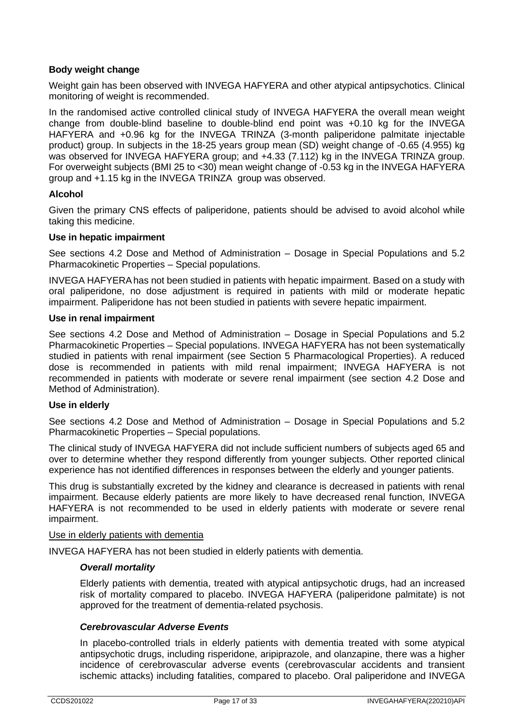## **Body weight change**

Weight gain has been observed with INVEGA HAFYERA and other atypical antipsychotics. Clinical monitoring of weight is recommended.

In the randomised active controlled clinical study of INVEGA HAFYERA the overall mean weight change from double-blind baseline to double-blind end point was +0.10 kg for the INVEGA HAFYERA and +0.96 kg for the INVEGA TRINZA (3-month paliperidone palmitate injectable product) group. In subjects in the 18-25 years group mean (SD) weight change of -0.65 (4.955) kg was observed for INVEGA HAFYERA group; and +4.33 (7.112) kg in the INVEGA TRINZA group. For overweight subjects (BMI 25 to <30) mean weight change of -0.53 kg in the INVEGA HAFYERA group and +1.15 kg in the INVEGA TRINZA group was observed.

#### **Alcohol**

Given the primary CNS effects of paliperidone, patients should be advised to avoid alcohol while taking this medicine.

#### **Use in hepatic impairment**

See sections 4.2 Dose and Method of Administration – Dosage in Special Populations and 5.2 Pharmacokinetic Properties – Special populations.

INVEGA HAFYERAhas not been studied in patients with hepatic impairment. Based on a study with oral paliperidone, no dose adjustment is required in patients with mild or moderate hepatic impairment. Paliperidone has not been studied in patients with severe hepatic impairment.

#### **Use in renal impairment**

See sections 4.2 Dose and Method of Administration – Dosage in Special Populations and 5.2 Pharmacokinetic Properties – Special populations. INVEGA HAFYERA has not been systematically studied in patients with renal impairment (see Section 5 Pharmacological Properties). A reduced dose is recommended in patients with mild renal impairment; INVEGA HAFYERA is not recommended in patients with moderate or severe renal impairment (see section 4.2 Dose and Method of Administration).

#### **Use in elderly**

See sections 4.2 Dose and Method of Administration – Dosage in Special Populations and 5.2 Pharmacokinetic Properties – Special populations.

The clinical study of INVEGA HAFYERA did not include sufficient numbers of subjects aged 65 and over to determine whether they respond differently from younger subjects. Other reported clinical experience has not identified differences in responses between the elderly and younger patients.

This drug is substantially excreted by the kidney and clearance is decreased in patients with renal impairment. Because elderly patients are more likely to have decreased renal function, INVEGA HAFYERA is not recommended to be used in elderly patients with moderate or severe renal impairment.

#### Use in elderly patients with dementia

INVEGA HAFYERA has not been studied in elderly patients with dementia.

#### *Overall mortality*

Elderly patients with dementia, treated with atypical antipsychotic drugs, had an increased risk of mortality compared to placebo. INVEGA HAFYERA (paliperidone palmitate) is not approved for the treatment of dementia-related psychosis.

#### *Cerebrovascular Adverse Events*

In placebo-controlled trials in elderly patients with dementia treated with some atypical antipsychotic drugs, including risperidone, aripiprazole, and olanzapine, there was a higher incidence of cerebrovascular adverse events (cerebrovascular accidents and transient ischemic attacks) including fatalities, compared to placebo. Oral paliperidone and INVEGA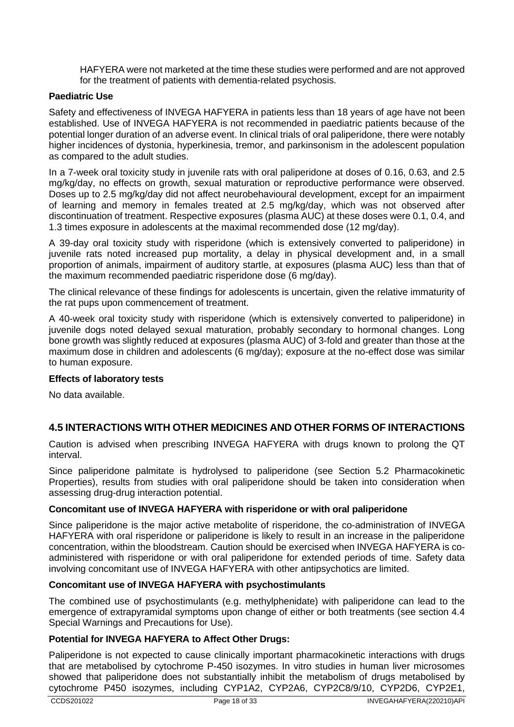HAFYERA were not marketed at the time these studies were performed and are not approved for the treatment of patients with dementia-related psychosis.

### **Paediatric Use**

Safety and effectiveness of INVEGA HAFYERA in patients less than 18 years of age have not been established. Use of INVEGA HAFYERA is not recommended in paediatric patients because of the potential longer duration of an adverse event. In clinical trials of oral paliperidone, there were notably higher incidences of dystonia, hyperkinesia, tremor, and parkinsonism in the adolescent population as compared to the adult studies.

In a 7-week oral toxicity study in juvenile rats with oral paliperidone at doses of 0.16, 0.63, and 2.5 mg/kg/day, no effects on growth, sexual maturation or reproductive performance were observed. Doses up to 2.5 mg/kg/day did not affect neurobehavioural development, except for an impairment of learning and memory in females treated at 2.5 mg/kg/day, which was not observed after discontinuation of treatment. Respective exposures (plasma AUC) at these doses were 0.1, 0.4, and 1.3 times exposure in adolescents at the maximal recommended dose (12 mg/day).

A 39-day oral toxicity study with risperidone (which is extensively converted to paliperidone) in juvenile rats noted increased pup mortality, a delay in physical development and, in a small proportion of animals, impairment of auditory startle, at exposures (plasma AUC) less than that of the maximum recommended paediatric risperidone dose (6 mg/day).

The clinical relevance of these findings for adolescents is uncertain, given the relative immaturity of the rat pups upon commencement of treatment.

A 40-week oral toxicity study with risperidone (which is extensively converted to paliperidone) in juvenile dogs noted delayed sexual maturation, probably secondary to hormonal changes. Long bone growth was slightly reduced at exposures (plasma AUC) of 3-fold and greater than those at the maximum dose in children and adolescents (6 mg/day); exposure at the no-effect dose was similar to human exposure.

#### **Effects of laboratory tests**

No data available.

# **4.5 INTERACTIONS WITH OTHER MEDICINES AND OTHER FORMS OF INTERACTIONS**

Caution is advised when prescribing INVEGA HAFYERA with drugs known to prolong the QT interval.

Since paliperidone palmitate is hydrolysed to paliperidone (see Section 5.2 Pharmacokinetic Properties), results from studies with oral paliperidone should be taken into consideration when assessing drug-drug interaction potential.

#### **Concomitant use of INVEGA HAFYERA with risperidone or with oral paliperidone**

Since paliperidone is the major active metabolite of risperidone, the co-administration of INVEGA HAFYERA with oral risperidone or paliperidone is likely to result in an increase in the paliperidone concentration, within the bloodstream. Caution should be exercised when INVEGA HAFYERA is coadministered with risperidone or with oral paliperidone for extended periods of time. Safety data involving concomitant use of INVEGA HAFYERA with other antipsychotics are limited.

#### **Concomitant use of INVEGA HAFYERA with psychostimulants**

The combined use of psychostimulants (e.g. methylphenidate) with paliperidone can lead to the emergence of extrapyramidal symptoms upon change of either or both treatments (see section 4.4 Special Warnings and Precautions for Use).

#### **Potential for INVEGA HAFYERA to Affect Other Drugs:**

Paliperidone is not expected to cause clinically important pharmacokinetic interactions with drugs that are metabolised by cytochrome P-450 isozymes. In vitro studies in human liver microsomes showed that paliperidone does not substantially inhibit the metabolism of drugs metabolised by cytochrome P450 isozymes, including CYP1A2, CYP2A6, CYP2C8/9/10, CYP2D6, CYP2E1,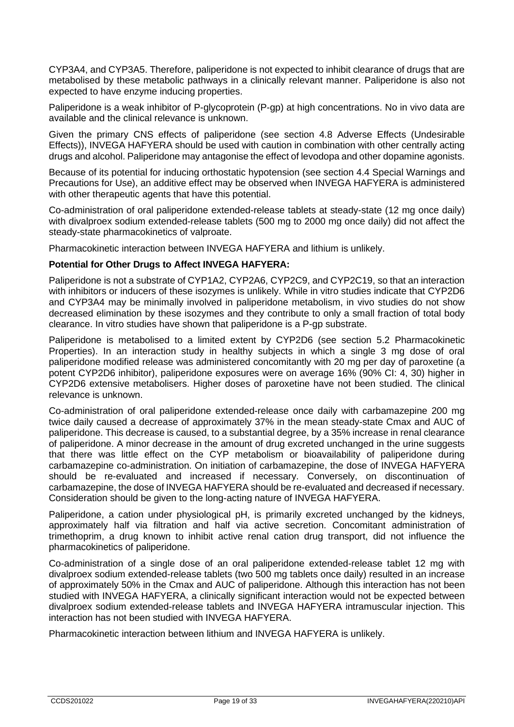CYP3A4, and CYP3A5. Therefore, paliperidone is not expected to inhibit clearance of drugs that are metabolised by these metabolic pathways in a clinically relevant manner. Paliperidone is also not expected to have enzyme inducing properties.

Paliperidone is a weak inhibitor of P-glycoprotein (P-gp) at high concentrations. No in vivo data are available and the clinical relevance is unknown.

Given the primary CNS effects of paliperidone (see section 4.8 Adverse Effects (Undesirable Effects)), INVEGA HAFYERA should be used with caution in combination with other centrally acting drugs and alcohol. Paliperidone may antagonise the effect of levodopa and other dopamine agonists.

Because of its potential for inducing orthostatic hypotension (see section 4.4 Special Warnings and Precautions for Use), an additive effect may be observed when INVEGA HAFYERA is administered with other therapeutic agents that have this potential.

Co-administration of oral paliperidone extended-release tablets at steady-state (12 mg once daily) with divalproex sodium extended-release tablets (500 mg to 2000 mg once daily) did not affect the steady-state pharmacokinetics of valproate.

Pharmacokinetic interaction between INVEGA HAFYERA and lithium is unlikely.

#### **Potential for Other Drugs to Affect INVEGA HAFYERA:**

Paliperidone is not a substrate of CYP1A2, CYP2A6, CYP2C9, and CYP2C19, so that an interaction with inhibitors or inducers of these isozymes is unlikely. While in vitro studies indicate that CYP2D6 and CYP3A4 may be minimally involved in paliperidone metabolism, in vivo studies do not show decreased elimination by these isozymes and they contribute to only a small fraction of total body clearance. In vitro studies have shown that paliperidone is a P-gp substrate.

Paliperidone is metabolised to a limited extent by CYP2D6 (see section 5.2 Pharmacokinetic Properties). In an interaction study in healthy subjects in which a single 3 mg dose of oral paliperidone modified release was administered concomitantly with 20 mg per day of paroxetine (a potent CYP2D6 inhibitor), paliperidone exposures were on average 16% (90% CI: 4, 30) higher in CYP2D6 extensive metabolisers. Higher doses of paroxetine have not been studied. The clinical relevance is unknown.

Co-administration of oral paliperidone extended-release once daily with carbamazepine 200 mg twice daily caused a decrease of approximately 37% in the mean steady-state Cmax and AUC of paliperidone. This decrease is caused, to a substantial degree, by a 35% increase in renal clearance of paliperidone. A minor decrease in the amount of drug excreted unchanged in the urine suggests that there was little effect on the CYP metabolism or bioavailability of paliperidone during carbamazepine co-administration. On initiation of carbamazepine, the dose of INVEGA HAFYERA should be re-evaluated and increased if necessary. Conversely, on discontinuation of carbamazepine, the dose of INVEGA HAFYERA should be re-evaluated and decreased if necessary. Consideration should be given to the long-acting nature of INVEGA HAFYERA.

Paliperidone, a cation under physiological pH, is primarily excreted unchanged by the kidneys, approximately half via filtration and half via active secretion. Concomitant administration of trimethoprim, a drug known to inhibit active renal cation drug transport, did not influence the pharmacokinetics of paliperidone.

Co-administration of a single dose of an oral paliperidone extended-release tablet 12 mg with divalproex sodium extended-release tablets (two 500 mg tablets once daily) resulted in an increase of approximately 50% in the Cmax and AUC of paliperidone. Although this interaction has not been studied with INVEGA HAFYERA, a clinically significant interaction would not be expected between divalproex sodium extended-release tablets and INVEGA HAFYERA intramuscular injection. This interaction has not been studied with INVEGA HAFYERA.

Pharmacokinetic interaction between lithium and INVEGA HAFYERA is unlikely.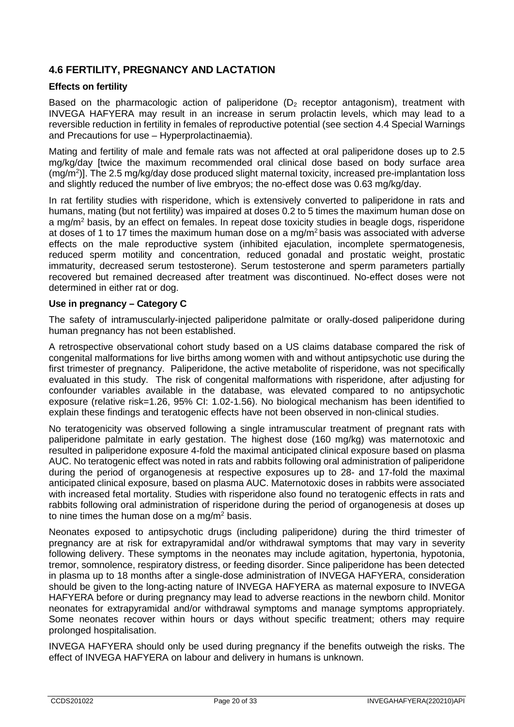# **4.6 FERTILITY, PREGNANCY AND LACTATION**

### **Effects on fertility**

Based on the pharmacologic action of paliperidone ( $D<sub>2</sub>$  receptor antagonism), treatment with INVEGA HAFYERA may result in an increase in serum prolactin levels, which may lead to a reversible reduction in fertility in females of reproductive potential (see section 4.4 Special Warnings and Precautions for use – Hyperprolactinaemia).

Mating and fertility of male and female rats was not affected at oral paliperidone doses up to 2.5 mg/kg/day [twice the maximum recommended oral clinical dose based on body surface area (mg/m2 )]. The 2.5 mg/kg/day dose produced slight maternal toxicity, increased pre-implantation loss and slightly reduced the number of live embryos; the no-effect dose was 0.63 mg/kg/day.

In rat fertility studies with risperidone, which is extensively converted to paliperidone in rats and humans, mating (but not fertility) was impaired at doses 0.2 to 5 times the maximum human dose on a mg/m<sup>2</sup> basis, by an effect on females. In repeat dose toxicity studies in beagle dogs, risperidone at doses of 1 to 17 times the maximum human dose on a mg/m<sup>2</sup> basis was associated with adverse effects on the male reproductive system (inhibited ejaculation, incomplete spermatogenesis, reduced sperm motility and concentration, reduced gonadal and prostatic weight, prostatic immaturity, decreased serum testosterone). Serum testosterone and sperm parameters partially recovered but remained decreased after treatment was discontinued. No-effect doses were not determined in either rat or dog.

#### **Use in pregnancy – Category C**

The safety of intramuscularly-injected paliperidone palmitate or orally-dosed paliperidone during human pregnancy has not been established.

A retrospective observational cohort study based on a US claims database compared the risk of congenital malformations for live births among women with and without antipsychotic use during the first trimester of pregnancy. Paliperidone, the active metabolite of risperidone, was not specifically evaluated in this study. The risk of congenital malformations with risperidone, after adjusting for confounder variables available in the database, was elevated compared to no antipsychotic exposure (relative risk=1.26, 95% CI: 1.02-1.56). No biological mechanism has been identified to explain these findings and teratogenic effects have not been observed in non-clinical studies.

No teratogenicity was observed following a single intramuscular treatment of pregnant rats with paliperidone palmitate in early gestation. The highest dose (160 mg/kg) was maternotoxic and resulted in paliperidone exposure 4-fold the maximal anticipated clinical exposure based on plasma AUC. No teratogenic effect was noted in rats and rabbits following oral administration of paliperidone during the period of organogenesis at respective exposures up to 28- and 17-fold the maximal anticipated clinical exposure, based on plasma AUC. Maternotoxic doses in rabbits were associated with increased fetal mortality. Studies with risperidone also found no teratogenic effects in rats and rabbits following oral administration of risperidone during the period of organogenesis at doses up to nine times the human dose on a mg/m2 basis.

Neonates exposed to antipsychotic drugs (including paliperidone) during the third trimester of pregnancy are at risk for extrapyramidal and/or withdrawal symptoms that may vary in severity following delivery. These symptoms in the neonates may include agitation, hypertonia, hypotonia, tremor, somnolence, respiratory distress, or feeding disorder. Since paliperidone has been detected in plasma up to 18 months after a single-dose administration of INVEGA HAFYERA, consideration should be given to the long-acting nature of INVEGA HAFYERA as maternal exposure to INVEGA HAFYERA before or during pregnancy may lead to adverse reactions in the newborn child. Monitor neonates for extrapyramidal and/or withdrawal symptoms and manage symptoms appropriately. Some neonates recover within hours or days without specific treatment; others may require prolonged hospitalisation.

INVEGA HAFYERA should only be used during pregnancy if the benefits outweigh the risks. The effect of INVEGA HAFYERA on labour and delivery in humans is unknown.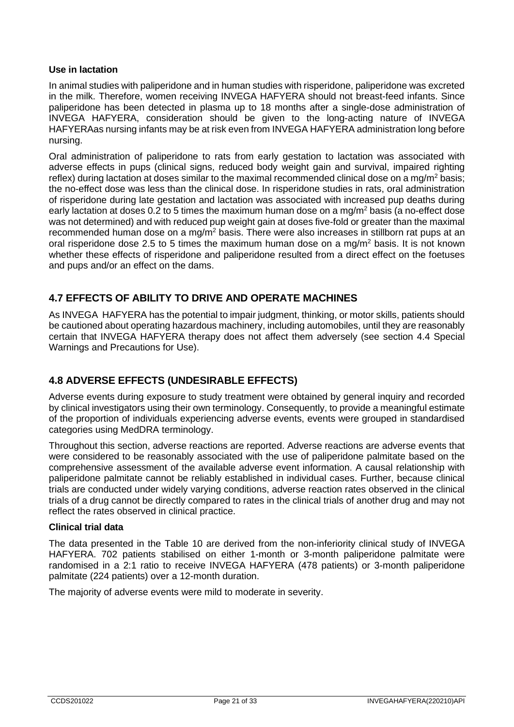#### **Use in lactation**

In animal studies with paliperidone and in human studies with risperidone, paliperidone was excreted in the milk. Therefore, women receiving INVEGA HAFYERA should not breast-feed infants. Since paliperidone has been detected in plasma up to 18 months after a single-dose administration of INVEGA HAFYERA, consideration should be given to the long-acting nature of INVEGA HAFYERAas nursing infants may be at risk even from INVEGA HAFYERA administration long before nursing.

Oral administration of paliperidone to rats from early gestation to lactation was associated with adverse effects in pups (clinical signs, reduced body weight gain and survival, impaired righting reflex) during lactation at doses similar to the maximal recommended clinical dose on a mg/m2 basis; the no-effect dose was less than the clinical dose. In risperidone studies in rats, oral administration of risperidone during late gestation and lactation was associated with increased pup deaths during early lactation at doses 0.2 to 5 times the maximum human dose on a mg/m<sup>2</sup> basis (a no-effect dose was not determined) and with reduced pup weight gain at doses five-fold or greater than the maximal recommended human dose on a mg/m<sup>2</sup> basis. There were also increases in stillborn rat pups at an oral risperidone dose 2.5 to 5 times the maximum human dose on a mg/m2 basis. It is not known whether these effects of risperidone and paliperidone resulted from a direct effect on the foetuses and pups and/or an effect on the dams.

# **4.7 EFFECTS OF ABILITY TO DRIVE AND OPERATE MACHINES**

As INVEGA HAFYERA has the potential to impair judgment, thinking, or motor skills, patients should be cautioned about operating hazardous machinery, including automobiles, until they are reasonably certain that INVEGA HAFYERA therapy does not affect them adversely (see section 4.4 Special Warnings and Precautions for Use).

# **4.8 ADVERSE EFFECTS (UNDESIRABLE EFFECTS)**

Adverse events during exposure to study treatment were obtained by general inquiry and recorded by clinical investigators using their own terminology. Consequently, to provide a meaningful estimate of the proportion of individuals experiencing adverse events, events were grouped in standardised categories using MedDRA terminology.

Throughout this section, adverse reactions are reported. Adverse reactions are adverse events that were considered to be reasonably associated with the use of paliperidone palmitate based on the comprehensive assessment of the available adverse event information. A causal relationship with paliperidone palmitate cannot be reliably established in individual cases. Further, because clinical trials are conducted under widely varying conditions, adverse reaction rates observed in the clinical trials of a drug cannot be directly compared to rates in the clinical trials of another drug and may not reflect the rates observed in clinical practice.

#### **Clinical trial data**

The data presented in the Table 10 are derived from the non-inferiority clinical study of INVEGA HAFYERA. 702 patients stabilised on either 1-month or 3-month paliperidone palmitate were randomised in a 2:1 ratio to receive INVEGA HAFYERA (478 patients) or 3-month paliperidone palmitate (224 patients) over a 12-month duration.

The majority of adverse events were mild to moderate in severity.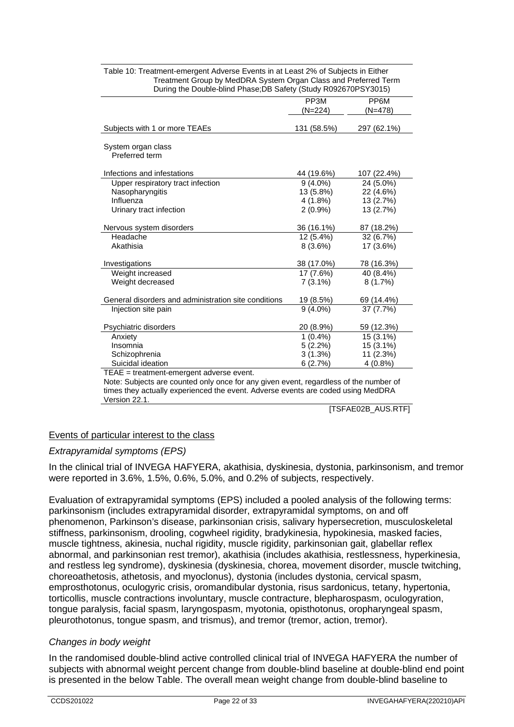|                                                                                       | PP3M        | PP <sub>6</sub> M |
|---------------------------------------------------------------------------------------|-------------|-------------------|
|                                                                                       | (N=224)     | $(N=478)$         |
|                                                                                       |             |                   |
| Subjects with 1 or more TEAEs                                                         | 131 (58.5%) | 297 (62.1%)       |
|                                                                                       |             |                   |
| System organ class                                                                    |             |                   |
| Preferred term                                                                        |             |                   |
|                                                                                       |             |                   |
| Infections and infestations                                                           | 44 (19.6%)  | 107 (22.4%)       |
| Upper respiratory tract infection                                                     | $9(4.0\%)$  | 24 (5.0%)         |
| Nasopharyngitis                                                                       | 13 (5.8%)   | 22 (4.6%)         |
| Influenza                                                                             | $4(1.8\%)$  | 13 (2.7%)         |
| Urinary tract infection                                                               | $2(0.9\%)$  | 13 (2.7%)         |
|                                                                                       |             |                   |
| Nervous system disorders                                                              | 36 (16.1%)  | 87 (18.2%)        |
| Headache                                                                              | $12(5.4\%)$ | 32 (6.7%)         |
| Akathisia                                                                             | $8(3.6\%)$  | 17 (3.6%)         |
|                                                                                       |             |                   |
| Investigations                                                                        | 38 (17.0%)  | 78 (16.3%)        |
| Weight increased                                                                      | 17 (7.6%)   | 40 (8.4%)         |
| Weight decreased                                                                      | $7(3.1\%)$  | 8(1.7%)           |
|                                                                                       |             |                   |
| General disorders and administration site conditions                                  | 19 (8.5%)   | 69 (14.4%)        |
| Injection site pain                                                                   | $9(4.0\%)$  | 37 (7.7%)         |
|                                                                                       |             |                   |
| Psychiatric disorders                                                                 | 20 (8.9%)   | 59 (12.3%)        |
| Anxiety                                                                               | $1(0.4\%)$  | $15(3.1\%)$       |
| Insomnia                                                                              | 5(2.2%)     | $15(3.1\%)$       |
| Schizophrenia                                                                         | 3(1.3%)     | 11(2.3%)          |
| Suicidal ideation                                                                     | 6(2.7%)     | 4(0.8%)           |
| TEAE = treatment-emergent adverse event.                                              |             |                   |
| Note: Subjects are counted only apos for any given ovent, regardless of the number of |             |                   |

| Table 10: Treatment-emergent Adverse Events in at Least 2% of Subjects in Either |
|----------------------------------------------------------------------------------|
| Treatment Group by MedDRA System Organ Class and Preferred Term                  |
| During the Double-blind Phase; DB Safety (Study R092670PSY3015)                  |

Note: Subjects are counted only once for any given event, regardless of the number of times they actually experienced the event. Adverse events are coded using MedDRA Version 22.1.

[TSFAE02B\_AUS.RTF]

# Events of particular interest to the class

#### *Extrapyramidal symptoms (EPS)*

In the clinical trial of INVEGA HAFYERA, akathisia, dyskinesia, dystonia, parkinsonism, and tremor were reported in 3.6%, 1.5%, 0.6%, 5.0%, and 0.2% of subjects, respectively.

Evaluation of extrapyramidal symptoms (EPS) included a pooled analysis of the following terms: parkinsonism (includes extrapyramidal disorder, extrapyramidal symptoms, on and off phenomenon, Parkinson's disease, parkinsonian crisis, salivary hypersecretion, musculoskeletal stiffness, parkinsonism, drooling, cogwheel rigidity, bradykinesia, hypokinesia, masked facies, muscle tightness, akinesia, nuchal rigidity, muscle rigidity, parkinsonian gait, glabellar reflex abnormal, and parkinsonian rest tremor), akathisia (includes akathisia, restlessness, hyperkinesia, and restless leg syndrome), dyskinesia (dyskinesia, chorea, movement disorder, muscle twitching, choreoathetosis, athetosis, and myoclonus), dystonia (includes dystonia, cervical spasm, emprosthotonus, oculogyric crisis, oromandibular dystonia, risus sardonicus, tetany, hypertonia, torticollis, muscle contractions involuntary, muscle contracture, blepharospasm, oculogyration, tongue paralysis, facial spasm, laryngospasm, myotonia, opisthotonus, oropharyngeal spasm, pleurothotonus, tongue spasm, and trismus), and tremor (tremor, action, tremor).

#### *Changes in body weight*

In the randomised double-blind active controlled clinical trial of INVEGA HAFYERA the number of subjects with abnormal weight percent change from double-blind baseline at double-blind end point is presented in the below Table. The overall mean weight change from double-blind baseline to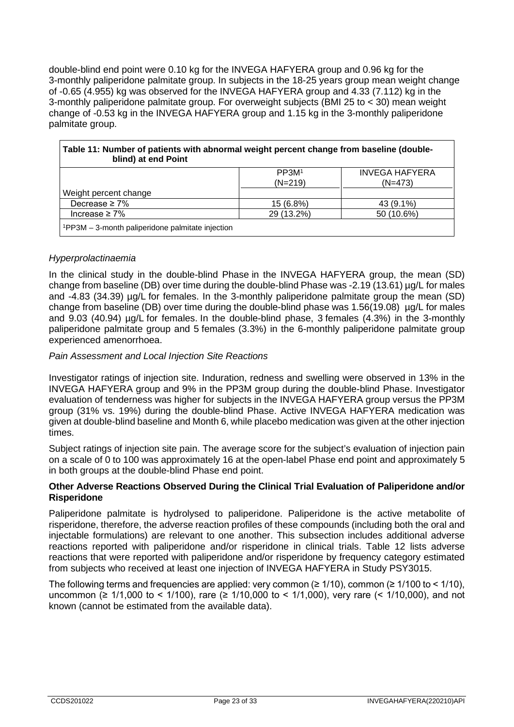double-blind end point were 0.10 kg for the INVEGA HAFYERA group and 0.96 kg for the 3-monthly paliperidone palmitate group. In subjects in the 18-25 years group mean weight change of -0.65 (4.955) kg was observed for the INVEGA HAFYERA group and 4.33 (7.112) kg in the 3-monthly paliperidone palmitate group. For overweight subjects (BMI 25 to < 30) mean weight change of -0.53 kg in the INVEGA HAFYERA group and 1.15 kg in the 3-monthly paliperidone palmitate group.

| Table 11: Number of patients with abnormal weight percent change from baseline (double-<br>blind) at end Point |                   |                       |  |
|----------------------------------------------------------------------------------------------------------------|-------------------|-----------------------|--|
|                                                                                                                | PP3M <sup>1</sup> | <b>INVEGA HAFYERA</b> |  |
| $(N=219)$<br>$(N=473)$                                                                                         |                   |                       |  |
| Weight percent change                                                                                          |                   |                       |  |
| Decrease $\geq 7\%$                                                                                            | 15 (6.8%)         | 43 (9.1%)             |  |
| Increase $\geq 7\%$                                                                                            | 29 (13.2%)        | 50 (10.6%)            |  |
| $1$ PP3M – 3-month paliperidone palmitate injection                                                            |                   |                       |  |

#### *Hyperprolactinaemia*

In the clinical study in the double-blind Phase in the INVEGA HAFYERA group, the mean (SD) change from baseline (DB) over time during the double-blind Phase was -2.19 (13.61) µg/L for males and -4.83 (34.39) µg/L for females. In the 3-monthly paliperidone palmitate group the mean (SD) change from baseline (DB) over time during the double-blind phase was  $1.56(19.08)$  µg/L for males and 9.03 (40.94)  $\mu$ g/L for females. In the double-blind phase, 3 females (4.3%) in the 3-monthly paliperidone palmitate group and 5 females (3.3%) in the 6-monthly paliperidone palmitate group experienced amenorrhoea.

#### *Pain Assessment and Local Injection Site Reactions*

Investigator ratings of injection site. Induration, redness and swelling were observed in 13% in the INVEGA HAFYERA group and 9% in the PP3M group during the double-blind Phase. Investigator evaluation of tenderness was higher for subjects in the INVEGA HAFYERA group versus the PP3M group (31% vs. 19%) during the double-blind Phase. Active INVEGA HAFYERA medication was given at double-blind baseline and Month 6, while placebo medication was given at the other injection times.

Subject ratings of injection site pain. The average score for the subject's evaluation of injection pain on a scale of 0 to 100 was approximately 16 at the open-label Phase end point and approximately 5 in both groups at the double-blind Phase end point.

#### **Other Adverse Reactions Observed During the Clinical Trial Evaluation of Paliperidone and/or Risperidone**

Paliperidone palmitate is hydrolysed to paliperidone. Paliperidone is the active metabolite of risperidone, therefore, the adverse reaction profiles of these compounds (including both the oral and injectable formulations) are relevant to one another. This subsection includes additional adverse reactions reported with paliperidone and/or risperidone in clinical trials. Table 12 lists adverse reactions that were reported with paliperidone and/or risperidone by frequency category estimated from subjects who received at least one injection of INVEGA HAFYERA in Study PSY3015.

The following terms and frequencies are applied: very common ( $\geq 1/10$ ), common ( $\geq 1/100$  to < 1/10), uncommon (≥ 1/1,000 to < 1/100), rare (≥ 1/10,000 to < 1/1,000), very rare (< 1/10,000), and not known (cannot be estimated from the available data).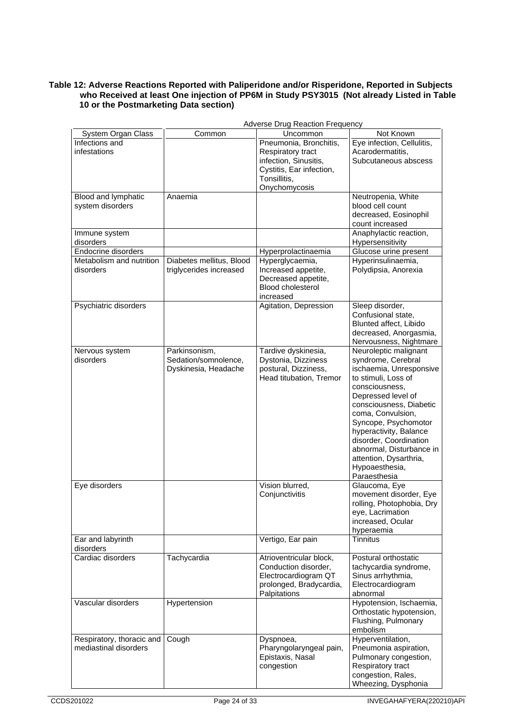#### **Table 12: Adverse Reactions Reported with Paliperidone and/or Risperidone, Reported in Subjects who Received at least One injection of PP6M in Study PSY3015 (Not already Listed in Table 10 or the Postmarketing Data section)**

| Not Known<br>System Organ Class<br>Common<br>Uncommon<br>Infections and<br>Eye infection, Cellulitis,<br>Pneumonia, Bronchitis,<br>infestations<br>Acarodermatitis,<br>Respiratory tract<br>infection, Sinusitis,<br>Subcutaneous abscess<br>Cystitis, Ear infection,<br>Tonsillitis,<br>Onychomycosis<br>Blood and lymphatic<br>Anaemia<br>Neutropenia, White<br>system disorders<br>blood cell count<br>decreased, Eosinophil<br>count increased<br>Anaphylactic reaction,<br>Immune system<br>disorders<br>Hypersensitivity<br>Endocrine disorders<br>Glucose urine present<br>Hyperprolactinaemia<br>Metabolism and nutrition<br>Hyperinsulinaemia,<br>Diabetes mellitus, Blood<br>Hyperglycaemia,<br>triglycerides increased<br>Increased appetite,<br>Polydipsia, Anorexia<br>disorders<br>Decreased appetite,<br><b>Blood cholesterol</b><br>increased<br>Psychiatric disorders<br>Agitation, Depression<br>Sleep disorder,<br>Confusional state,<br>Blunted affect, Libido<br>decreased, Anorgasmia,<br>Nervousness, Nightmare<br>Neuroleptic malignant<br>Tardive dyskinesia,<br>Nervous system<br>Parkinsonism,<br>disorders<br>Sedation/somnolence,<br>Dystonia, Dizziness<br>syndrome, Cerebral<br>Dyskinesia, Headache<br>postural, Dizziness,<br>ischaemia, Unresponsive<br>Head titubation, Tremor<br>to stimuli, Loss of<br>consciousness.<br>Depressed level of<br>consciousness, Diabetic<br>coma, Convulsion,<br>Syncope, Psychomotor<br>hyperactivity, Balance<br>disorder, Coordination<br>abnormal, Disturbance in<br>attention, Dysarthria,<br>Hypoaesthesia,<br>Paraesthesia<br>Vision blurred,<br>Eye disorders<br>Glaucoma, Eye<br>Conjunctivitis<br>movement disorder, Eye<br>rolling, Photophobia, Dry<br>eye, Lacrimation<br>increased, Ocular<br>hyperaemia<br>Vertigo, Ear pain<br>Ear and labyrinth<br><b>Tinnitus</b><br>disorders<br>Cardiac disorders<br>Tachycardia<br>Postural orthostatic<br>Atrioventricular block,<br>Conduction disorder,<br>tachycardia syndrome,<br>Electrocardiogram QT<br>Sinus arrhythmia,<br>prolonged, Bradycardia,<br>Electrocardiogram<br>Palpitations<br>abnormal<br>Vascular disorders<br>Hypertension<br>Hypotension, Ischaemia,<br>Orthostatic hypotension,<br>Flushing, Pulmonary<br>embolism<br>Cough<br>Hyperventilation,<br>Respiratory, thoracic and<br>Dyspnoea,<br>mediastinal disorders<br>Pharyngolaryngeal pain,<br>Pneumonia aspiration,<br>Epistaxis, Nasal<br>Pulmonary congestion,<br>congestion<br>Respiratory tract<br>congestion, Rales, | <b>Adverse Drug Reaction Frequency</b> |  |  |                     |  |
|---------------------------------------------------------------------------------------------------------------------------------------------------------------------------------------------------------------------------------------------------------------------------------------------------------------------------------------------------------------------------------------------------------------------------------------------------------------------------------------------------------------------------------------------------------------------------------------------------------------------------------------------------------------------------------------------------------------------------------------------------------------------------------------------------------------------------------------------------------------------------------------------------------------------------------------------------------------------------------------------------------------------------------------------------------------------------------------------------------------------------------------------------------------------------------------------------------------------------------------------------------------------------------------------------------------------------------------------------------------------------------------------------------------------------------------------------------------------------------------------------------------------------------------------------------------------------------------------------------------------------------------------------------------------------------------------------------------------------------------------------------------------------------------------------------------------------------------------------------------------------------------------------------------------------------------------------------------------------------------------------------------------------------------------------------------------------------------------------------------------------------------------------------------------------------------------------------------------------------------------------------------------------------------------------------------------------------------------------------------------------------------------------------------------------------------------------------------------------------------------------------------------------------|----------------------------------------|--|--|---------------------|--|
|                                                                                                                                                                                                                                                                                                                                                                                                                                                                                                                                                                                                                                                                                                                                                                                                                                                                                                                                                                                                                                                                                                                                                                                                                                                                                                                                                                                                                                                                                                                                                                                                                                                                                                                                                                                                                                                                                                                                                                                                                                                                                                                                                                                                                                                                                                                                                                                                                                                                                                                                 |                                        |  |  |                     |  |
|                                                                                                                                                                                                                                                                                                                                                                                                                                                                                                                                                                                                                                                                                                                                                                                                                                                                                                                                                                                                                                                                                                                                                                                                                                                                                                                                                                                                                                                                                                                                                                                                                                                                                                                                                                                                                                                                                                                                                                                                                                                                                                                                                                                                                                                                                                                                                                                                                                                                                                                                 |                                        |  |  |                     |  |
|                                                                                                                                                                                                                                                                                                                                                                                                                                                                                                                                                                                                                                                                                                                                                                                                                                                                                                                                                                                                                                                                                                                                                                                                                                                                                                                                                                                                                                                                                                                                                                                                                                                                                                                                                                                                                                                                                                                                                                                                                                                                                                                                                                                                                                                                                                                                                                                                                                                                                                                                 |                                        |  |  |                     |  |
|                                                                                                                                                                                                                                                                                                                                                                                                                                                                                                                                                                                                                                                                                                                                                                                                                                                                                                                                                                                                                                                                                                                                                                                                                                                                                                                                                                                                                                                                                                                                                                                                                                                                                                                                                                                                                                                                                                                                                                                                                                                                                                                                                                                                                                                                                                                                                                                                                                                                                                                                 |                                        |  |  |                     |  |
|                                                                                                                                                                                                                                                                                                                                                                                                                                                                                                                                                                                                                                                                                                                                                                                                                                                                                                                                                                                                                                                                                                                                                                                                                                                                                                                                                                                                                                                                                                                                                                                                                                                                                                                                                                                                                                                                                                                                                                                                                                                                                                                                                                                                                                                                                                                                                                                                                                                                                                                                 |                                        |  |  |                     |  |
|                                                                                                                                                                                                                                                                                                                                                                                                                                                                                                                                                                                                                                                                                                                                                                                                                                                                                                                                                                                                                                                                                                                                                                                                                                                                                                                                                                                                                                                                                                                                                                                                                                                                                                                                                                                                                                                                                                                                                                                                                                                                                                                                                                                                                                                                                                                                                                                                                                                                                                                                 |                                        |  |  |                     |  |
|                                                                                                                                                                                                                                                                                                                                                                                                                                                                                                                                                                                                                                                                                                                                                                                                                                                                                                                                                                                                                                                                                                                                                                                                                                                                                                                                                                                                                                                                                                                                                                                                                                                                                                                                                                                                                                                                                                                                                                                                                                                                                                                                                                                                                                                                                                                                                                                                                                                                                                                                 |                                        |  |  |                     |  |
|                                                                                                                                                                                                                                                                                                                                                                                                                                                                                                                                                                                                                                                                                                                                                                                                                                                                                                                                                                                                                                                                                                                                                                                                                                                                                                                                                                                                                                                                                                                                                                                                                                                                                                                                                                                                                                                                                                                                                                                                                                                                                                                                                                                                                                                                                                                                                                                                                                                                                                                                 |                                        |  |  |                     |  |
|                                                                                                                                                                                                                                                                                                                                                                                                                                                                                                                                                                                                                                                                                                                                                                                                                                                                                                                                                                                                                                                                                                                                                                                                                                                                                                                                                                                                                                                                                                                                                                                                                                                                                                                                                                                                                                                                                                                                                                                                                                                                                                                                                                                                                                                                                                                                                                                                                                                                                                                                 |                                        |  |  |                     |  |
|                                                                                                                                                                                                                                                                                                                                                                                                                                                                                                                                                                                                                                                                                                                                                                                                                                                                                                                                                                                                                                                                                                                                                                                                                                                                                                                                                                                                                                                                                                                                                                                                                                                                                                                                                                                                                                                                                                                                                                                                                                                                                                                                                                                                                                                                                                                                                                                                                                                                                                                                 |                                        |  |  |                     |  |
|                                                                                                                                                                                                                                                                                                                                                                                                                                                                                                                                                                                                                                                                                                                                                                                                                                                                                                                                                                                                                                                                                                                                                                                                                                                                                                                                                                                                                                                                                                                                                                                                                                                                                                                                                                                                                                                                                                                                                                                                                                                                                                                                                                                                                                                                                                                                                                                                                                                                                                                                 |                                        |  |  |                     |  |
|                                                                                                                                                                                                                                                                                                                                                                                                                                                                                                                                                                                                                                                                                                                                                                                                                                                                                                                                                                                                                                                                                                                                                                                                                                                                                                                                                                                                                                                                                                                                                                                                                                                                                                                                                                                                                                                                                                                                                                                                                                                                                                                                                                                                                                                                                                                                                                                                                                                                                                                                 |                                        |  |  |                     |  |
|                                                                                                                                                                                                                                                                                                                                                                                                                                                                                                                                                                                                                                                                                                                                                                                                                                                                                                                                                                                                                                                                                                                                                                                                                                                                                                                                                                                                                                                                                                                                                                                                                                                                                                                                                                                                                                                                                                                                                                                                                                                                                                                                                                                                                                                                                                                                                                                                                                                                                                                                 |                                        |  |  |                     |  |
|                                                                                                                                                                                                                                                                                                                                                                                                                                                                                                                                                                                                                                                                                                                                                                                                                                                                                                                                                                                                                                                                                                                                                                                                                                                                                                                                                                                                                                                                                                                                                                                                                                                                                                                                                                                                                                                                                                                                                                                                                                                                                                                                                                                                                                                                                                                                                                                                                                                                                                                                 |                                        |  |  |                     |  |
|                                                                                                                                                                                                                                                                                                                                                                                                                                                                                                                                                                                                                                                                                                                                                                                                                                                                                                                                                                                                                                                                                                                                                                                                                                                                                                                                                                                                                                                                                                                                                                                                                                                                                                                                                                                                                                                                                                                                                                                                                                                                                                                                                                                                                                                                                                                                                                                                                                                                                                                                 |                                        |  |  |                     |  |
|                                                                                                                                                                                                                                                                                                                                                                                                                                                                                                                                                                                                                                                                                                                                                                                                                                                                                                                                                                                                                                                                                                                                                                                                                                                                                                                                                                                                                                                                                                                                                                                                                                                                                                                                                                                                                                                                                                                                                                                                                                                                                                                                                                                                                                                                                                                                                                                                                                                                                                                                 |                                        |  |  |                     |  |
|                                                                                                                                                                                                                                                                                                                                                                                                                                                                                                                                                                                                                                                                                                                                                                                                                                                                                                                                                                                                                                                                                                                                                                                                                                                                                                                                                                                                                                                                                                                                                                                                                                                                                                                                                                                                                                                                                                                                                                                                                                                                                                                                                                                                                                                                                                                                                                                                                                                                                                                                 |                                        |  |  |                     |  |
|                                                                                                                                                                                                                                                                                                                                                                                                                                                                                                                                                                                                                                                                                                                                                                                                                                                                                                                                                                                                                                                                                                                                                                                                                                                                                                                                                                                                                                                                                                                                                                                                                                                                                                                                                                                                                                                                                                                                                                                                                                                                                                                                                                                                                                                                                                                                                                                                                                                                                                                                 |                                        |  |  |                     |  |
|                                                                                                                                                                                                                                                                                                                                                                                                                                                                                                                                                                                                                                                                                                                                                                                                                                                                                                                                                                                                                                                                                                                                                                                                                                                                                                                                                                                                                                                                                                                                                                                                                                                                                                                                                                                                                                                                                                                                                                                                                                                                                                                                                                                                                                                                                                                                                                                                                                                                                                                                 |                                        |  |  |                     |  |
|                                                                                                                                                                                                                                                                                                                                                                                                                                                                                                                                                                                                                                                                                                                                                                                                                                                                                                                                                                                                                                                                                                                                                                                                                                                                                                                                                                                                                                                                                                                                                                                                                                                                                                                                                                                                                                                                                                                                                                                                                                                                                                                                                                                                                                                                                                                                                                                                                                                                                                                                 |                                        |  |  |                     |  |
|                                                                                                                                                                                                                                                                                                                                                                                                                                                                                                                                                                                                                                                                                                                                                                                                                                                                                                                                                                                                                                                                                                                                                                                                                                                                                                                                                                                                                                                                                                                                                                                                                                                                                                                                                                                                                                                                                                                                                                                                                                                                                                                                                                                                                                                                                                                                                                                                                                                                                                                                 |                                        |  |  |                     |  |
|                                                                                                                                                                                                                                                                                                                                                                                                                                                                                                                                                                                                                                                                                                                                                                                                                                                                                                                                                                                                                                                                                                                                                                                                                                                                                                                                                                                                                                                                                                                                                                                                                                                                                                                                                                                                                                                                                                                                                                                                                                                                                                                                                                                                                                                                                                                                                                                                                                                                                                                                 |                                        |  |  |                     |  |
|                                                                                                                                                                                                                                                                                                                                                                                                                                                                                                                                                                                                                                                                                                                                                                                                                                                                                                                                                                                                                                                                                                                                                                                                                                                                                                                                                                                                                                                                                                                                                                                                                                                                                                                                                                                                                                                                                                                                                                                                                                                                                                                                                                                                                                                                                                                                                                                                                                                                                                                                 |                                        |  |  |                     |  |
|                                                                                                                                                                                                                                                                                                                                                                                                                                                                                                                                                                                                                                                                                                                                                                                                                                                                                                                                                                                                                                                                                                                                                                                                                                                                                                                                                                                                                                                                                                                                                                                                                                                                                                                                                                                                                                                                                                                                                                                                                                                                                                                                                                                                                                                                                                                                                                                                                                                                                                                                 |                                        |  |  |                     |  |
|                                                                                                                                                                                                                                                                                                                                                                                                                                                                                                                                                                                                                                                                                                                                                                                                                                                                                                                                                                                                                                                                                                                                                                                                                                                                                                                                                                                                                                                                                                                                                                                                                                                                                                                                                                                                                                                                                                                                                                                                                                                                                                                                                                                                                                                                                                                                                                                                                                                                                                                                 |                                        |  |  |                     |  |
|                                                                                                                                                                                                                                                                                                                                                                                                                                                                                                                                                                                                                                                                                                                                                                                                                                                                                                                                                                                                                                                                                                                                                                                                                                                                                                                                                                                                                                                                                                                                                                                                                                                                                                                                                                                                                                                                                                                                                                                                                                                                                                                                                                                                                                                                                                                                                                                                                                                                                                                                 |                                        |  |  |                     |  |
|                                                                                                                                                                                                                                                                                                                                                                                                                                                                                                                                                                                                                                                                                                                                                                                                                                                                                                                                                                                                                                                                                                                                                                                                                                                                                                                                                                                                                                                                                                                                                                                                                                                                                                                                                                                                                                                                                                                                                                                                                                                                                                                                                                                                                                                                                                                                                                                                                                                                                                                                 |                                        |  |  |                     |  |
|                                                                                                                                                                                                                                                                                                                                                                                                                                                                                                                                                                                                                                                                                                                                                                                                                                                                                                                                                                                                                                                                                                                                                                                                                                                                                                                                                                                                                                                                                                                                                                                                                                                                                                                                                                                                                                                                                                                                                                                                                                                                                                                                                                                                                                                                                                                                                                                                                                                                                                                                 |                                        |  |  |                     |  |
|                                                                                                                                                                                                                                                                                                                                                                                                                                                                                                                                                                                                                                                                                                                                                                                                                                                                                                                                                                                                                                                                                                                                                                                                                                                                                                                                                                                                                                                                                                                                                                                                                                                                                                                                                                                                                                                                                                                                                                                                                                                                                                                                                                                                                                                                                                                                                                                                                                                                                                                                 |                                        |  |  |                     |  |
|                                                                                                                                                                                                                                                                                                                                                                                                                                                                                                                                                                                                                                                                                                                                                                                                                                                                                                                                                                                                                                                                                                                                                                                                                                                                                                                                                                                                                                                                                                                                                                                                                                                                                                                                                                                                                                                                                                                                                                                                                                                                                                                                                                                                                                                                                                                                                                                                                                                                                                                                 |                                        |  |  |                     |  |
|                                                                                                                                                                                                                                                                                                                                                                                                                                                                                                                                                                                                                                                                                                                                                                                                                                                                                                                                                                                                                                                                                                                                                                                                                                                                                                                                                                                                                                                                                                                                                                                                                                                                                                                                                                                                                                                                                                                                                                                                                                                                                                                                                                                                                                                                                                                                                                                                                                                                                                                                 |                                        |  |  |                     |  |
|                                                                                                                                                                                                                                                                                                                                                                                                                                                                                                                                                                                                                                                                                                                                                                                                                                                                                                                                                                                                                                                                                                                                                                                                                                                                                                                                                                                                                                                                                                                                                                                                                                                                                                                                                                                                                                                                                                                                                                                                                                                                                                                                                                                                                                                                                                                                                                                                                                                                                                                                 |                                        |  |  |                     |  |
|                                                                                                                                                                                                                                                                                                                                                                                                                                                                                                                                                                                                                                                                                                                                                                                                                                                                                                                                                                                                                                                                                                                                                                                                                                                                                                                                                                                                                                                                                                                                                                                                                                                                                                                                                                                                                                                                                                                                                                                                                                                                                                                                                                                                                                                                                                                                                                                                                                                                                                                                 |                                        |  |  |                     |  |
|                                                                                                                                                                                                                                                                                                                                                                                                                                                                                                                                                                                                                                                                                                                                                                                                                                                                                                                                                                                                                                                                                                                                                                                                                                                                                                                                                                                                                                                                                                                                                                                                                                                                                                                                                                                                                                                                                                                                                                                                                                                                                                                                                                                                                                                                                                                                                                                                                                                                                                                                 |                                        |  |  |                     |  |
|                                                                                                                                                                                                                                                                                                                                                                                                                                                                                                                                                                                                                                                                                                                                                                                                                                                                                                                                                                                                                                                                                                                                                                                                                                                                                                                                                                                                                                                                                                                                                                                                                                                                                                                                                                                                                                                                                                                                                                                                                                                                                                                                                                                                                                                                                                                                                                                                                                                                                                                                 |                                        |  |  |                     |  |
|                                                                                                                                                                                                                                                                                                                                                                                                                                                                                                                                                                                                                                                                                                                                                                                                                                                                                                                                                                                                                                                                                                                                                                                                                                                                                                                                                                                                                                                                                                                                                                                                                                                                                                                                                                                                                                                                                                                                                                                                                                                                                                                                                                                                                                                                                                                                                                                                                                                                                                                                 |                                        |  |  |                     |  |
|                                                                                                                                                                                                                                                                                                                                                                                                                                                                                                                                                                                                                                                                                                                                                                                                                                                                                                                                                                                                                                                                                                                                                                                                                                                                                                                                                                                                                                                                                                                                                                                                                                                                                                                                                                                                                                                                                                                                                                                                                                                                                                                                                                                                                                                                                                                                                                                                                                                                                                                                 |                                        |  |  |                     |  |
|                                                                                                                                                                                                                                                                                                                                                                                                                                                                                                                                                                                                                                                                                                                                                                                                                                                                                                                                                                                                                                                                                                                                                                                                                                                                                                                                                                                                                                                                                                                                                                                                                                                                                                                                                                                                                                                                                                                                                                                                                                                                                                                                                                                                                                                                                                                                                                                                                                                                                                                                 |                                        |  |  |                     |  |
|                                                                                                                                                                                                                                                                                                                                                                                                                                                                                                                                                                                                                                                                                                                                                                                                                                                                                                                                                                                                                                                                                                                                                                                                                                                                                                                                                                                                                                                                                                                                                                                                                                                                                                                                                                                                                                                                                                                                                                                                                                                                                                                                                                                                                                                                                                                                                                                                                                                                                                                                 |                                        |  |  |                     |  |
|                                                                                                                                                                                                                                                                                                                                                                                                                                                                                                                                                                                                                                                                                                                                                                                                                                                                                                                                                                                                                                                                                                                                                                                                                                                                                                                                                                                                                                                                                                                                                                                                                                                                                                                                                                                                                                                                                                                                                                                                                                                                                                                                                                                                                                                                                                                                                                                                                                                                                                                                 |                                        |  |  |                     |  |
|                                                                                                                                                                                                                                                                                                                                                                                                                                                                                                                                                                                                                                                                                                                                                                                                                                                                                                                                                                                                                                                                                                                                                                                                                                                                                                                                                                                                                                                                                                                                                                                                                                                                                                                                                                                                                                                                                                                                                                                                                                                                                                                                                                                                                                                                                                                                                                                                                                                                                                                                 |                                        |  |  |                     |  |
|                                                                                                                                                                                                                                                                                                                                                                                                                                                                                                                                                                                                                                                                                                                                                                                                                                                                                                                                                                                                                                                                                                                                                                                                                                                                                                                                                                                                                                                                                                                                                                                                                                                                                                                                                                                                                                                                                                                                                                                                                                                                                                                                                                                                                                                                                                                                                                                                                                                                                                                                 |                                        |  |  |                     |  |
|                                                                                                                                                                                                                                                                                                                                                                                                                                                                                                                                                                                                                                                                                                                                                                                                                                                                                                                                                                                                                                                                                                                                                                                                                                                                                                                                                                                                                                                                                                                                                                                                                                                                                                                                                                                                                                                                                                                                                                                                                                                                                                                                                                                                                                                                                                                                                                                                                                                                                                                                 |                                        |  |  |                     |  |
|                                                                                                                                                                                                                                                                                                                                                                                                                                                                                                                                                                                                                                                                                                                                                                                                                                                                                                                                                                                                                                                                                                                                                                                                                                                                                                                                                                                                                                                                                                                                                                                                                                                                                                                                                                                                                                                                                                                                                                                                                                                                                                                                                                                                                                                                                                                                                                                                                                                                                                                                 |                                        |  |  |                     |  |
|                                                                                                                                                                                                                                                                                                                                                                                                                                                                                                                                                                                                                                                                                                                                                                                                                                                                                                                                                                                                                                                                                                                                                                                                                                                                                                                                                                                                                                                                                                                                                                                                                                                                                                                                                                                                                                                                                                                                                                                                                                                                                                                                                                                                                                                                                                                                                                                                                                                                                                                                 |                                        |  |  |                     |  |
|                                                                                                                                                                                                                                                                                                                                                                                                                                                                                                                                                                                                                                                                                                                                                                                                                                                                                                                                                                                                                                                                                                                                                                                                                                                                                                                                                                                                                                                                                                                                                                                                                                                                                                                                                                                                                                                                                                                                                                                                                                                                                                                                                                                                                                                                                                                                                                                                                                                                                                                                 |                                        |  |  |                     |  |
|                                                                                                                                                                                                                                                                                                                                                                                                                                                                                                                                                                                                                                                                                                                                                                                                                                                                                                                                                                                                                                                                                                                                                                                                                                                                                                                                                                                                                                                                                                                                                                                                                                                                                                                                                                                                                                                                                                                                                                                                                                                                                                                                                                                                                                                                                                                                                                                                                                                                                                                                 |                                        |  |  |                     |  |
|                                                                                                                                                                                                                                                                                                                                                                                                                                                                                                                                                                                                                                                                                                                                                                                                                                                                                                                                                                                                                                                                                                                                                                                                                                                                                                                                                                                                                                                                                                                                                                                                                                                                                                                                                                                                                                                                                                                                                                                                                                                                                                                                                                                                                                                                                                                                                                                                                                                                                                                                 |                                        |  |  |                     |  |
|                                                                                                                                                                                                                                                                                                                                                                                                                                                                                                                                                                                                                                                                                                                                                                                                                                                                                                                                                                                                                                                                                                                                                                                                                                                                                                                                                                                                                                                                                                                                                                                                                                                                                                                                                                                                                                                                                                                                                                                                                                                                                                                                                                                                                                                                                                                                                                                                                                                                                                                                 |                                        |  |  |                     |  |
|                                                                                                                                                                                                                                                                                                                                                                                                                                                                                                                                                                                                                                                                                                                                                                                                                                                                                                                                                                                                                                                                                                                                                                                                                                                                                                                                                                                                                                                                                                                                                                                                                                                                                                                                                                                                                                                                                                                                                                                                                                                                                                                                                                                                                                                                                                                                                                                                                                                                                                                                 |                                        |  |  |                     |  |
|                                                                                                                                                                                                                                                                                                                                                                                                                                                                                                                                                                                                                                                                                                                                                                                                                                                                                                                                                                                                                                                                                                                                                                                                                                                                                                                                                                                                                                                                                                                                                                                                                                                                                                                                                                                                                                                                                                                                                                                                                                                                                                                                                                                                                                                                                                                                                                                                                                                                                                                                 |                                        |  |  |                     |  |
|                                                                                                                                                                                                                                                                                                                                                                                                                                                                                                                                                                                                                                                                                                                                                                                                                                                                                                                                                                                                                                                                                                                                                                                                                                                                                                                                                                                                                                                                                                                                                                                                                                                                                                                                                                                                                                                                                                                                                                                                                                                                                                                                                                                                                                                                                                                                                                                                                                                                                                                                 |                                        |  |  |                     |  |
|                                                                                                                                                                                                                                                                                                                                                                                                                                                                                                                                                                                                                                                                                                                                                                                                                                                                                                                                                                                                                                                                                                                                                                                                                                                                                                                                                                                                                                                                                                                                                                                                                                                                                                                                                                                                                                                                                                                                                                                                                                                                                                                                                                                                                                                                                                                                                                                                                                                                                                                                 |                                        |  |  |                     |  |
|                                                                                                                                                                                                                                                                                                                                                                                                                                                                                                                                                                                                                                                                                                                                                                                                                                                                                                                                                                                                                                                                                                                                                                                                                                                                                                                                                                                                                                                                                                                                                                                                                                                                                                                                                                                                                                                                                                                                                                                                                                                                                                                                                                                                                                                                                                                                                                                                                                                                                                                                 |                                        |  |  |                     |  |
|                                                                                                                                                                                                                                                                                                                                                                                                                                                                                                                                                                                                                                                                                                                                                                                                                                                                                                                                                                                                                                                                                                                                                                                                                                                                                                                                                                                                                                                                                                                                                                                                                                                                                                                                                                                                                                                                                                                                                                                                                                                                                                                                                                                                                                                                                                                                                                                                                                                                                                                                 |                                        |  |  |                     |  |
|                                                                                                                                                                                                                                                                                                                                                                                                                                                                                                                                                                                                                                                                                                                                                                                                                                                                                                                                                                                                                                                                                                                                                                                                                                                                                                                                                                                                                                                                                                                                                                                                                                                                                                                                                                                                                                                                                                                                                                                                                                                                                                                                                                                                                                                                                                                                                                                                                                                                                                                                 |                                        |  |  |                     |  |
|                                                                                                                                                                                                                                                                                                                                                                                                                                                                                                                                                                                                                                                                                                                                                                                                                                                                                                                                                                                                                                                                                                                                                                                                                                                                                                                                                                                                                                                                                                                                                                                                                                                                                                                                                                                                                                                                                                                                                                                                                                                                                                                                                                                                                                                                                                                                                                                                                                                                                                                                 |                                        |  |  |                     |  |
|                                                                                                                                                                                                                                                                                                                                                                                                                                                                                                                                                                                                                                                                                                                                                                                                                                                                                                                                                                                                                                                                                                                                                                                                                                                                                                                                                                                                                                                                                                                                                                                                                                                                                                                                                                                                                                                                                                                                                                                                                                                                                                                                                                                                                                                                                                                                                                                                                                                                                                                                 |                                        |  |  |                     |  |
|                                                                                                                                                                                                                                                                                                                                                                                                                                                                                                                                                                                                                                                                                                                                                                                                                                                                                                                                                                                                                                                                                                                                                                                                                                                                                                                                                                                                                                                                                                                                                                                                                                                                                                                                                                                                                                                                                                                                                                                                                                                                                                                                                                                                                                                                                                                                                                                                                                                                                                                                 |                                        |  |  |                     |  |
|                                                                                                                                                                                                                                                                                                                                                                                                                                                                                                                                                                                                                                                                                                                                                                                                                                                                                                                                                                                                                                                                                                                                                                                                                                                                                                                                                                                                                                                                                                                                                                                                                                                                                                                                                                                                                                                                                                                                                                                                                                                                                                                                                                                                                                                                                                                                                                                                                                                                                                                                 |                                        |  |  |                     |  |
|                                                                                                                                                                                                                                                                                                                                                                                                                                                                                                                                                                                                                                                                                                                                                                                                                                                                                                                                                                                                                                                                                                                                                                                                                                                                                                                                                                                                                                                                                                                                                                                                                                                                                                                                                                                                                                                                                                                                                                                                                                                                                                                                                                                                                                                                                                                                                                                                                                                                                                                                 |                                        |  |  |                     |  |
|                                                                                                                                                                                                                                                                                                                                                                                                                                                                                                                                                                                                                                                                                                                                                                                                                                                                                                                                                                                                                                                                                                                                                                                                                                                                                                                                                                                                                                                                                                                                                                                                                                                                                                                                                                                                                                                                                                                                                                                                                                                                                                                                                                                                                                                                                                                                                                                                                                                                                                                                 |                                        |  |  | Wheezing, Dysphonia |  |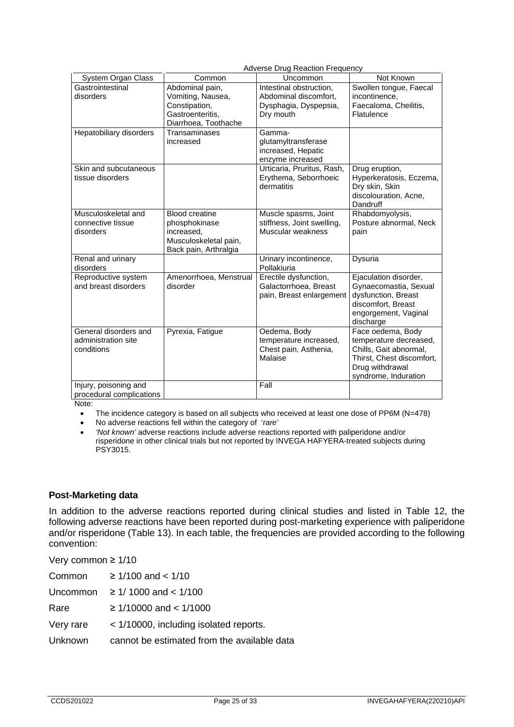|                                                            | <b>Adverse Drug Reaction Frequency</b>                                                                 |                                                                                        |                                                                                                                                               |
|------------------------------------------------------------|--------------------------------------------------------------------------------------------------------|----------------------------------------------------------------------------------------|-----------------------------------------------------------------------------------------------------------------------------------------------|
| System Organ Class                                         | Common                                                                                                 | Uncommon                                                                               | Not Known                                                                                                                                     |
| Gastrointestinal<br>disorders                              | Abdominal pain,<br>Vomiting, Nausea,<br>Constipation,<br>Gastroenteritis,<br>Diarrhoea, Toothache      | Intestinal obstruction,<br>Abdominal discomfort,<br>Dysphagia, Dyspepsia,<br>Dry mouth | Swollen tongue, Faecal<br>incontinence,<br>Faecaloma, Cheilitis,<br>Flatulence                                                                |
| Hepatobiliary disorders                                    | Transaminases<br>increased                                                                             | Gamma-<br>glutamyltransferase<br>increased, Hepatic<br>enzyme increased                |                                                                                                                                               |
| Skin and subcutaneous<br>tissue disorders                  |                                                                                                        | Urticaria, Pruritus, Rash,<br>Erythema, Seborrhoeic<br>dermatitis                      | Drug eruption,<br>Hyperkeratosis, Eczema,<br>Dry skin, Skin<br>discolouration, Acne,<br>Dandruff                                              |
| Musculoskeletal and<br>connective tissue<br>disorders      | <b>Blood creatine</b><br>phosphokinase<br>increased,<br>Musculoskeletal pain,<br>Back pain, Arthralgia | Muscle spasms, Joint<br>stiffness, Joint swelling,<br>Muscular weakness                | Rhabdomyolysis,<br>Posture abnormal, Neck<br>pain                                                                                             |
| Renal and urinary<br>disorders                             |                                                                                                        | Urinary incontinence,<br>Pollakiuria                                                   | Dysuria                                                                                                                                       |
| Reproductive system<br>and breast disorders                | Amenorrhoea, Menstrual<br>disorder                                                                     | Erectile dysfunction,<br>Galactorrhoea, Breast<br>pain, Breast enlargement             | Ejaculation disorder,<br>Gynaecomastia, Sexual<br>dysfunction, Breast<br>discomfort, Breast<br>engorgement, Vaginal<br>discharge              |
| General disorders and<br>administration site<br>conditions | Pyrexia, Fatigue                                                                                       | Oedema, Body<br>temperature increased,<br>Chest pain, Asthenia,<br>Malaise             | Face oedema, Body<br>temperature decreased,<br>Chills, Gait abnormal,<br>Thirst, Chest discomfort,<br>Drug withdrawal<br>syndrome, Induration |
| Injury, poisoning and<br>procedural complications          |                                                                                                        | Fall                                                                                   |                                                                                                                                               |

Note:

• The incidence category is based on all subjects who received at least one dose of PP6M (N=478)

• No adverse reactions fell within the category of '*rare'*

• *'Not known'* adverse reactions include adverse reactions reported with paliperidone and/or risperidone in other clinical trials but not reported by INVEGA HAFYERA-treated subjects during PSY3015.

#### **Post-Marketing data**

In addition to the adverse reactions reported during clinical studies and listed in Table 12, the following adverse reactions have been reported during post-marketing experience with paliperidone and/or risperidone (Table 13). In each table, the frequencies are provided according to the following convention:

| Very common $\geq 1/10$ |                                             |
|-------------------------|---------------------------------------------|
| Common                  | $\geq 1/100$ and $\lt 1/10$                 |
| Uncommon                | $\geq 1/1000$ and $\lt 1/100$               |
| Rare                    | $\geq 1/10000$ and $\lt 1/1000$             |
| Very rare               | < 1/10000, including isolated reports.      |
| Unknown                 | cannot be estimated from the available data |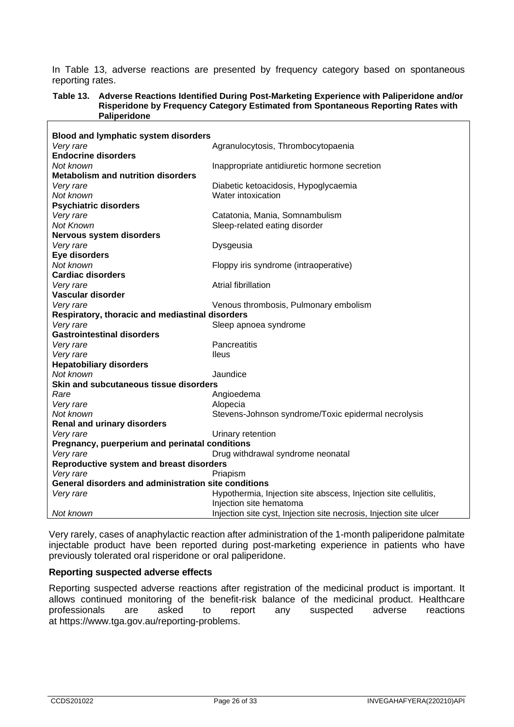In Table 13, adverse reactions are presented by frequency category based on spontaneous reporting rates.

#### **Table 13. Adverse Reactions Identified During Post-Marketing Experience with Paliperidone and/or Risperidone by Frequency Category Estimated from Spontaneous Reporting Rates with Paliperidone**

| <b>Blood and lymphatic system disorders</b>          |                                                                    |  |
|------------------------------------------------------|--------------------------------------------------------------------|--|
| Very rare                                            | Agranulocytosis, Thrombocytopaenia                                 |  |
| <b>Endocrine disorders</b>                           |                                                                    |  |
| Not known                                            | Inappropriate antidiuretic hormone secretion                       |  |
| <b>Metabolism and nutrition disorders</b>            |                                                                    |  |
| Very rare                                            | Diabetic ketoacidosis, Hypoglycaemia                               |  |
| Not known                                            | Water intoxication                                                 |  |
| <b>Psychiatric disorders</b>                         |                                                                    |  |
| Very rare                                            | Catatonia, Mania, Somnambulism                                     |  |
| Not Known                                            | Sleep-related eating disorder                                      |  |
| <b>Nervous system disorders</b>                      |                                                                    |  |
| Very rare                                            | Dysgeusia                                                          |  |
| Eye disorders                                        |                                                                    |  |
| Not known                                            | Floppy iris syndrome (intraoperative)                              |  |
| <b>Cardiac disorders</b>                             |                                                                    |  |
| Very rare                                            | Atrial fibrillation                                                |  |
| Vascular disorder                                    |                                                                    |  |
| Very rare                                            | Venous thrombosis, Pulmonary embolism                              |  |
| Respiratory, thoracic and mediastinal disorders      |                                                                    |  |
| Very rare                                            | Sleep apnoea syndrome                                              |  |
| <b>Gastrointestinal disorders</b>                    |                                                                    |  |
| Very rare                                            | Pancreatitis                                                       |  |
| Very rare                                            | <b>lleus</b>                                                       |  |
| <b>Hepatobiliary disorders</b>                       |                                                                    |  |
| Not known                                            | Jaundice                                                           |  |
| Skin and subcutaneous tissue disorders               |                                                                    |  |
| Rare                                                 | Angioedema                                                         |  |
| Very rare                                            | Alopecia                                                           |  |
| Not known                                            | Stevens-Johnson syndrome/Toxic epidermal necrolysis                |  |
| <b>Renal and urinary disorders</b>                   |                                                                    |  |
| Very rare                                            | Urinary retention                                                  |  |
| Pregnancy, puerperium and perinatal conditions       |                                                                    |  |
| Very rare                                            | Drug withdrawal syndrome neonatal                                  |  |
| Reproductive system and breast disorders             |                                                                    |  |
| Very rare                                            | Priapism                                                           |  |
| General disorders and administration site conditions |                                                                    |  |
| Very rare                                            | Hypothermia, Injection site abscess, Injection site cellulitis,    |  |
|                                                      | Injection site hematoma                                            |  |
| Not known                                            | Injection site cyst, Injection site necrosis, Injection site ulcer |  |

Very rarely, cases of anaphylactic reaction after administration of the 1-month paliperidone palmitate injectable product have been reported during post-marketing experience in patients who have previously tolerated oral risperidone or oral paliperidone.

#### **Reporting suspected adverse effects**

Reporting suspected adverse reactions after registration of the medicinal product is important. It allows continued monitoring of the benefit-risk balance of the medicinal product. Healthcare<br>professionals are asked to report any suspected adverse reactions professionals at [https://www.tga.gov.au/reporting-problems.](https://www.tga.gov.au/reporting-problems)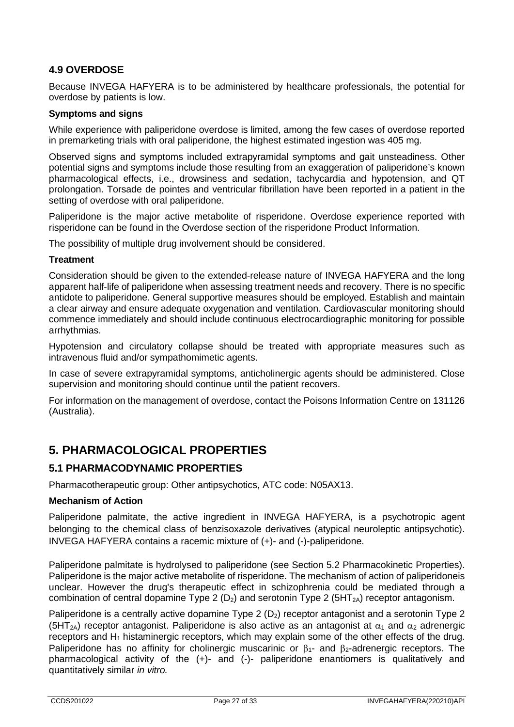# **4.9 OVERDOSE**

Because INVEGA HAFYERA is to be administered by healthcare professionals, the potential for overdose by patients is low.

### **Symptoms and signs**

While experience with paliperidone overdose is limited, among the few cases of overdose reported in premarketing trials with oral paliperidone, the highest estimated ingestion was 405 mg.

Observed signs and symptoms included extrapyramidal symptoms and gait unsteadiness. Other potential signs and symptoms include those resulting from an exaggeration of paliperidone's known pharmacological effects, i.e., drowsiness and sedation, tachycardia and hypotension, and QT prolongation. Torsade de pointes and ventricular fibrillation have been reported in a patient in the setting of overdose with oral paliperidone.

Paliperidone is the major active metabolite of risperidone. Overdose experience reported with risperidone can be found in the Overdose section of the risperidone Product Information.

The possibility of multiple drug involvement should be considered.

#### **Treatment**

Consideration should be given to the extended-release nature of INVEGA HAFYERA and the long apparent half-life of paliperidone when assessing treatment needs and recovery. There is no specific antidote to paliperidone. General supportive measures should be employed. Establish and maintain a clear airway and ensure adequate oxygenation and ventilation. Cardiovascular monitoring should commence immediately and should include continuous electrocardiographic monitoring for possible arrhythmias.

Hypotension and circulatory collapse should be treated with appropriate measures such as intravenous fluid and/or sympathomimetic agents.

In case of severe extrapyramidal symptoms, anticholinergic agents should be administered. Close supervision and monitoring should continue until the patient recovers.

For information on the management of overdose, contact the Poisons Information Centre on 131126 (Australia).

# **5. PHARMACOLOGICAL PROPERTIES**

# **5.1 PHARMACODYNAMIC PROPERTIES**

Pharmacotherapeutic group: Other antipsychotics, ATC code: N05AX13.

#### **Mechanism of Action**

Paliperidone palmitate, the active ingredient in INVEGA HAFYERA, is a psychotropic agent belonging to the chemical class of benzisoxazole derivatives (atypical neuroleptic antipsychotic). INVEGA HAFYERA contains a racemic mixture of (+)- and (-)-paliperidone.

Paliperidone palmitate is hydrolysed to paliperidone (see Section 5.2 Pharmacokinetic Properties). Paliperidone is the major active metabolite of risperidone. The mechanism of action of paliperidoneis unclear. However the drug's therapeutic effect in schizophrenia could be mediated through a combination of central dopamine Type 2 ( $D_2$ ) and serotonin Type 2 ( $5HT_{2A}$ ) receptor antagonism.

Paliperidone is a centrally active dopamine Type 2  $(D_2)$  receptor antagonist and a serotonin Type 2 (5HT<sub>2A</sub>) receptor antagonist. Paliperidone is also active as an antagonist at  $\alpha_1$  and  $\alpha_2$  adrenergic receptors and  $H_1$  histaminergic receptors, which may explain some of the other effects of the drug. Paliperidone has no affinity for cholinergic muscarinic or  $\beta_1$ - and  $\beta_2$ -adrenergic receptors. The pharmacological activity of the (+)- and (-)- paliperidone enantiomers is qualitatively and quantitatively similar *in vitro.*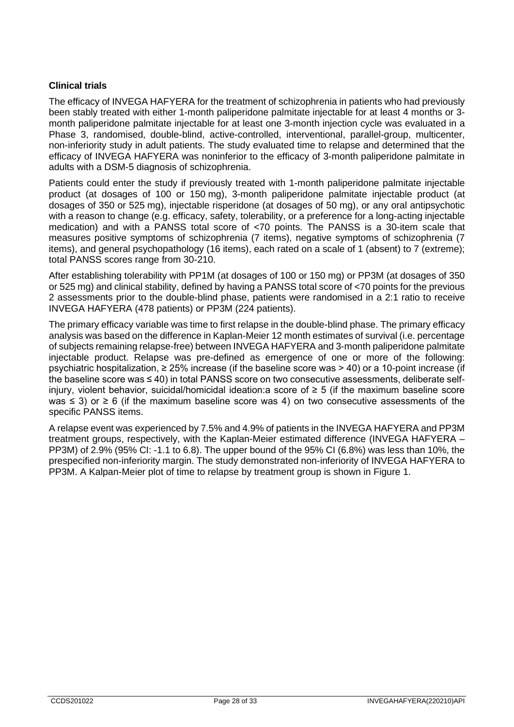## **Clinical trials**

The efficacy of INVEGA HAFYERA for the treatment of schizophrenia in patients who had previously been stably treated with either 1-month paliperidone palmitate injectable for at least 4 months or 3 month paliperidone palmitate injectable for at least one 3-month injection cycle was evaluated in a Phase 3, randomised, double-blind, active-controlled, interventional, parallel-group, multicenter, non-inferiority study in adult patients. The study evaluated time to relapse and determined that the efficacy of INVEGA HAFYERA was noninferior to the efficacy of 3-month paliperidone palmitate in adults with a DSM-5 diagnosis of schizophrenia.

Patients could enter the study if previously treated with 1-month paliperidone palmitate injectable product (at dosages of 100 or 150 mg), 3-month paliperidone palmitate injectable product (at dosages of 350 or 525 mg), injectable risperidone (at dosages of 50 mg), or any oral antipsychotic with a reason to change (e.g. efficacy, safety, tolerability, or a preference for a long-acting injectable medication) and with a PANSS total score of <70 points. The PANSS is a 30-item scale that measures positive symptoms of schizophrenia (7 items), negative symptoms of schizophrenia (7 items), and general psychopathology (16 items), each rated on a scale of 1 (absent) to 7 (extreme); total PANSS scores range from 30-210.

After establishing tolerability with PP1M (at dosages of 100 or 150 mg) or PP3M (at dosages of 350 or 525 mg) and clinical stability, defined by having a PANSS total score of <70 points for the previous 2 assessments prior to the double-blind phase, patients were randomised in a 2:1 ratio to receive INVEGA HAFYERA (478 patients) or PP3M (224 patients).

The primary efficacy variable was time to first relapse in the double-blind phase. The primary efficacy analysis was based on the difference in Kaplan-Meier 12 month estimates of survival (i.e. percentage of subjects remaining relapse-free) between INVEGA HAFYERA and 3-month paliperidone palmitate injectable product. Relapse was pre-defined as emergence of one or more of the following: psychiatric hospitalization,  $\geq 25\%$  increase (if the baseline score was  $> 40$ ) or a 10-point increase (if the baseline score was ≤ 40) in total PANSS score on two consecutive assessments, deliberate selfinjury, violent behavior, suicidal/homicidal ideation:a score of ≥ 5 (if the maximum baseline score was  $\le$  3) or  $\ge$  6 (if the maximum baseline score was 4) on two consecutive assessments of the specific PANSS items.

A relapse event was experienced by 7.5% and 4.9% of patients in the INVEGA HAFYERA and PP3M treatment groups, respectively, with the Kaplan-Meier estimated difference (INVEGA HAFYERA – PP3M) of 2.9% (95% CI: -1.1 to 6.8). The upper bound of the 95% CI (6.8%) was less than 10%, the prespecified non-inferiority margin. The study demonstrated non-inferiority of INVEGA HAFYERA to PP3M. A Kalpan-Meier plot of time to relapse by treatment group is shown in Figure 1.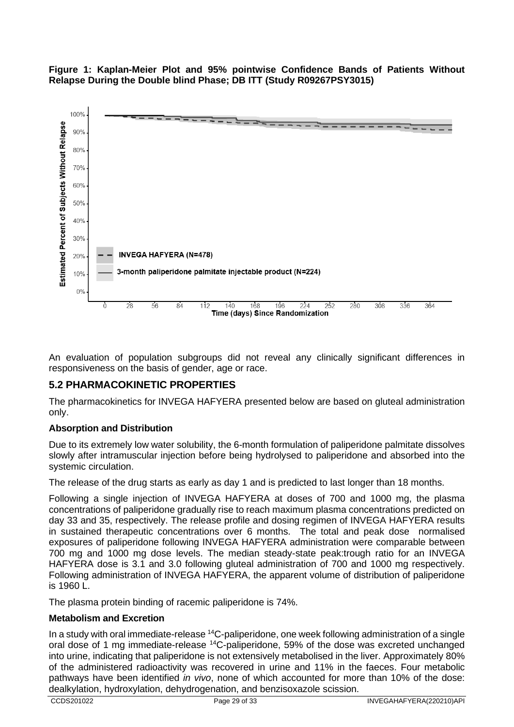



An evaluation of population subgroups did not reveal any clinically significant differences in responsiveness on the basis of gender, age or race.

# **5.2 PHARMACOKINETIC PROPERTIES**

The pharmacokinetics for INVEGA HAFYERA presented below are based on gluteal administration only.

#### **Absorption and Distribution**

Due to its extremely low water solubility, the 6-month formulation of paliperidone palmitate dissolves slowly after intramuscular injection before being hydrolysed to paliperidone and absorbed into the systemic circulation.

The release of the drug starts as early as day 1 and is predicted to last longer than 18 months.

Following a single injection of INVEGA HAFYERA at doses of 700 and 1000 mg, the plasma concentrations of paliperidone gradually rise to reach maximum plasma concentrations predicted on day 33 and 35, respectively. The release profile and dosing regimen of INVEGA HAFYERA results in sustained therapeutic concentrations over 6 months. The total and peak dose normalised exposures of paliperidone following INVEGA HAFYERA administration were comparable between 700 mg and 1000 mg dose levels. The median steady-state peak:trough ratio for an INVEGA HAFYERA dose is 3.1 and 3.0 following gluteal administration of 700 and 1000 mg respectively. Following administration of INVEGA HAFYERA, the apparent volume of distribution of paliperidone is 1960 L.

The plasma protein binding of racemic paliperidone is 74%.

#### **Metabolism and Excretion**

In a study with oral immediate-release 14C-paliperidone, one week following administration of a single oral dose of 1 mg immediate-release 14C-paliperidone, 59% of the dose was excreted unchanged into urine, indicating that paliperidone is not extensively metabolised in the liver. Approximately 80% of the administered radioactivity was recovered in urine and 11% in the faeces. Four metabolic pathways have been identified *in vivo*, none of which accounted for more than 10% of the dose: dealkylation, hydroxylation, dehydrogenation, and benzisoxazole scission.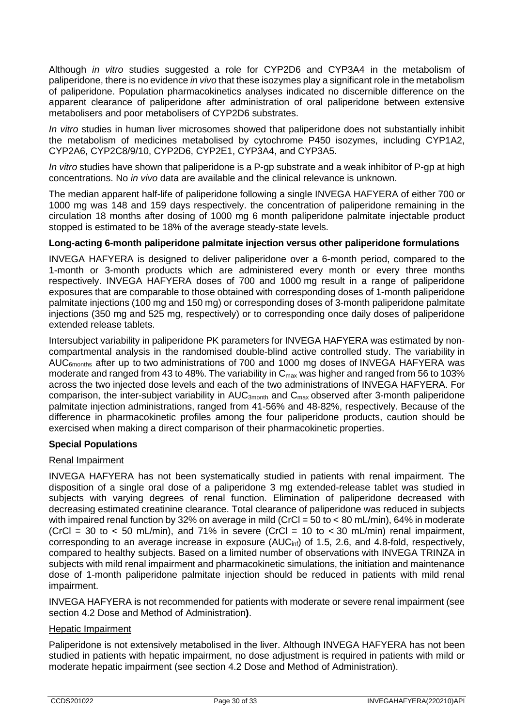Although *in vitro* studies suggested a role for CYP2D6 and CYP3A4 in the metabolism of paliperidone, there is no evidence *in vivo* that these isozymes play a significant role in the metabolism of paliperidone. Population pharmacokinetics analyses indicated no discernible difference on the apparent clearance of paliperidone after administration of oral paliperidone between extensive metabolisers and poor metabolisers of CYP2D6 substrates.

*In vitro* studies in human liver microsomes showed that paliperidone does not substantially inhibit the metabolism of medicines metabolised by cytochrome P450 isozymes, including CYP1A2, CYP2A6, CYP2C8/9/10, CYP2D6, CYP2E1, CYP3A4, and CYP3A5.

*In vitro* studies have shown that paliperidone is a P-gp substrate and a weak inhibitor of P-gp at high concentrations. No *in vivo* data are available and the clinical relevance is unknown.

The median apparent half-life of paliperidone following a single INVEGA HAFYERA of either 700 or 1000 mg was 148 and 159 days respectively. the concentration of paliperidone remaining in the circulation 18 months after dosing of 1000 mg 6 month paliperidone palmitate injectable product stopped is estimated to be 18% of the average steady-state levels.

#### **Long-acting 6-month paliperidone palmitate injection versus other paliperidone formulations**

INVEGA HAFYERA is designed to deliver paliperidone over a 6-month period, compared to the 1-month or 3-month products which are administered every month or every three months respectively. INVEGA HAFYERA doses of 700 and 1000 mg result in a range of paliperidone exposures that are comparable to those obtained with corresponding doses of 1-month paliperidone palmitate injections (100 mg and 150 mg) or corresponding doses of 3-month paliperidone palmitate injections (350 mg and 525 mg, respectively) or to corresponding once daily doses of paliperidone extended release tablets.

Intersubject variability in paliperidone PK parameters for INVEGA HAFYERA was estimated by noncompartmental analysis in the randomised double-blind active controlled study. The variability in AUC<sub>6months</sub> after up to two administrations of 700 and 1000 mg doses of INVEGA HAFYERA was moderate and ranged from 43 to 48%. The variability in  $C_{\text{max}}$  was higher and ranged from 56 to 103% across the two injected dose levels and each of the two administrations of INVEGA HAFYERA. For comparison, the inter-subject variability in AUC<sub>3month</sub> and C<sub>max</sub> observed after 3-month paliperidone palmitate injection administrations, ranged from 41-56% and 48-82%, respectively. Because of the difference in pharmacokinetic profiles among the four paliperidone products, caution should be exercised when making a direct comparison of their pharmacokinetic properties.

# **Special Populations**

#### Renal Impairment

INVEGA HAFYERA has not been systematically studied in patients with renal impairment. The disposition of a single oral dose of a paliperidone 3 mg extended-release tablet was studied in subjects with varying degrees of renal function. Elimination of paliperidone decreased with decreasing estimated creatinine clearance. Total clearance of paliperidone was reduced in subjects with impaired renal function by 32% on average in mild (CrCl = 50 to < 80 mL/min), 64% in moderate (CrCl = 30 to < 50 mL/min), and 71% in severe (CrCl = 10 to < 30 mL/min) renal impairment, corresponding to an average increase in exposure (AUC<sub>inf</sub>) of 1.5, 2.6, and 4.8-fold, respectively, compared to healthy subjects. Based on a limited number of observations with INVEGA TRINZA in subjects with mild renal impairment and pharmacokinetic simulations, the initiation and maintenance dose of 1-month paliperidone palmitate injection should be reduced in patients with mild renal impairment.

INVEGA HAFYERA is not recommended for patients with moderate or severe renal impairment (see section 4.2 Dose and Method of Administration**)**.

#### Hepatic Impairment

Paliperidone is not extensively metabolised in the liver. Although INVEGA HAFYERA has not been studied in patients with hepatic impairment, no dose adjustment is required in patients with mild or moderate hepatic impairment (see section 4.2 Dose and Method of Administration).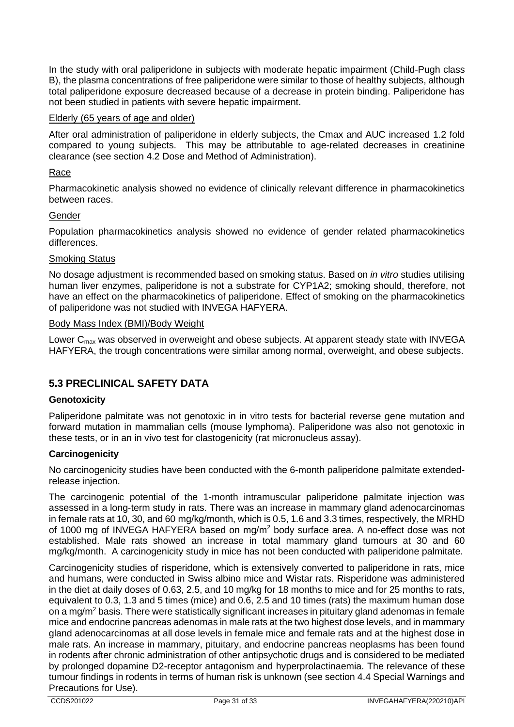In the study with oral paliperidone in subjects with moderate hepatic impairment (Child-Pugh class B), the plasma concentrations of free paliperidone were similar to those of healthy subjects, although total paliperidone exposure decreased because of a decrease in protein binding. Paliperidone has not been studied in patients with severe hepatic impairment.

### Elderly (65 years of age and older)

After oral administration of paliperidone in elderly subjects, the Cmax and AUC increased 1.2 fold compared to young subjects. This may be attributable to age-related decreases in creatinine clearance (see section 4.2 Dose and Method of Administration).

#### Race

Pharmacokinetic analysis showed no evidence of clinically relevant difference in pharmacokinetics between races.

#### Gender

Population pharmacokinetics analysis showed no evidence of gender related pharmacokinetics differences.

#### Smoking Status

No dosage adjustment is recommended based on smoking status. Based on *in vitro* studies utilising human liver enzymes, paliperidone is not a substrate for CYP1A2; smoking should, therefore, not have an effect on the pharmacokinetics of paliperidone. Effect of smoking on the pharmacokinetics of paliperidone was not studied with INVEGA HAFYERA.

#### Body Mass Index (BMI)/Body Weight

Lower  $C_{\text{max}}$  was observed in overweight and obese subjects. At apparent steady state with INVEGA HAFYERA, the trough concentrations were similar among normal, overweight, and obese subjects.

# **5.3 PRECLINICAL SAFETY DATA**

#### **Genotoxicity**

Paliperidone palmitate was not genotoxic in in vitro tests for bacterial reverse gene mutation and forward mutation in mammalian cells (mouse lymphoma). Paliperidone was also not genotoxic in these tests, or in an in vivo test for clastogenicity (rat micronucleus assay).

#### **Carcinogenicity**

No carcinogenicity studies have been conducted with the 6-month paliperidone palmitate extendedrelease injection.

The carcinogenic potential of the 1-month intramuscular paliperidone palmitate injection was assessed in a long-term study in rats. There was an increase in mammary gland adenocarcinomas in female rats at 10, 30, and 60 mg/kg/month, which is 0.5, 1.6 and 3.3 times, respectively, the MRHD of 1000 mg of INVEGA HAFYERA based on mg/m2 body surface area. A no-effect dose was not established. Male rats showed an increase in total mammary gland tumours at 30 and 60 mg/kg/month. A carcinogenicity study in mice has not been conducted with paliperidone palmitate.

Carcinogenicity studies of risperidone, which is extensively converted to paliperidone in rats, mice and humans, were conducted in Swiss albino mice and Wistar rats. Risperidone was administered in the diet at daily doses of 0.63, 2.5, and 10 mg/kg for 18 months to mice and for 25 months to rats, equivalent to 0.3, 1.3 and 5 times (mice) and 0.6, 2.5 and 10 times (rats) the maximum human dose on a mg/m2 basis. There were statistically significant increases in pituitary gland adenomas in female mice and endocrine pancreas adenomas in male rats at the two highest dose levels, and in mammary gland adenocarcinomas at all dose levels in female mice and female rats and at the highest dose in male rats. An increase in mammary, pituitary, and endocrine pancreas neoplasms has been found in rodents after chronic administration of other antipsychotic drugs and is considered to be mediated by prolonged dopamine D2-receptor antagonism and hyperprolactinaemia. The relevance of these tumour findings in rodents in terms of human risk is unknown (see section 4.4 Special Warnings and Precautions for Use).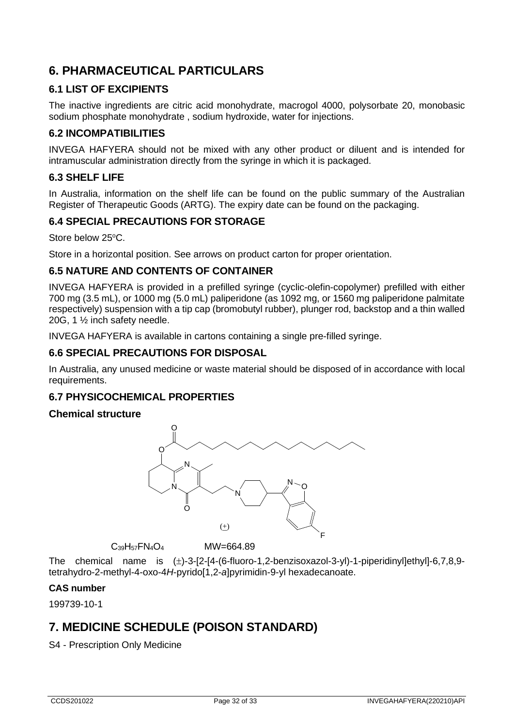# **6. PHARMACEUTICAL PARTICULARS**

# **6.1 LIST OF EXCIPIENTS**

The inactive ingredients are citric acid monohydrate, macrogol 4000, polysorbate 20, monobasic sodium phosphate monohydrate , sodium hydroxide, water for injections.

### **6.2 INCOMPATIBILITIES**

INVEGA HAFYERA should not be mixed with any other product or diluent and is intended for intramuscular administration directly from the syringe in which it is packaged.

# **6.3 SHELF LIFE**

In Australia, information on the shelf life can be found on the public summary of the Australian Register of Therapeutic Goods (ARTG). The expiry date can be found on the packaging.

# **6.4 SPECIAL PRECAUTIONS FOR STORAGE**

Store below 25°C.

Store in a horizontal position. See arrows on product carton for proper orientation.

### **6.5 NATURE AND CONTENTS OF CONTAINER**

INVEGA HAFYERA is provided in a prefilled syringe (cyclic-olefin-copolymer) prefilled with either 700 mg (3.5 mL), or 1000 mg (5.0 mL) paliperidone (as 1092 mg, or 1560 mg paliperidone palmitate respectively) suspension with a tip cap (bromobutyl rubber), plunger rod, backstop and a thin walled 20G, 1 ½ inch safety needle.

INVEGA HAFYERA is available in cartons containing a single pre-filled syringe.

### **6.6 SPECIAL PRECAUTIONS FOR DISPOSAL**

In Australia, any unused medicine or waste material should be disposed of in accordance with local requirements.

#### **6.7 PHYSICOCHEMICAL PROPERTIES**

#### **Chemical structure**



 $C_{39}H_{57}FN_4O_4$  MW=664.89

The chemical name is (±)-3-[2-[4-(6-fluoro-1,2-benzisoxazol-3-yl)-1-piperidinyl]ethyl]-6,7,8,9 tetrahydro-2-methyl-4-oxo-4*H*-pyrido[1,2-*a*]pyrimidin-9-yl hexadecanoate.

#### **CAS number**

199739-10-1

# **7. MEDICINE SCHEDULE (POISON STANDARD)**

S4 - Prescription Only Medicine